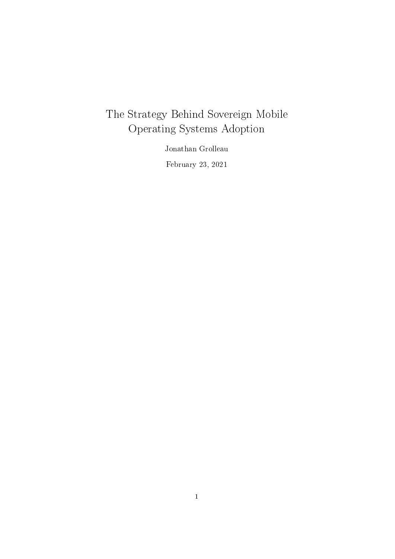## The Strategy Behind Sovereign Mobile Operating Systems Adoption

Jonathan Grolleau February 23, 2021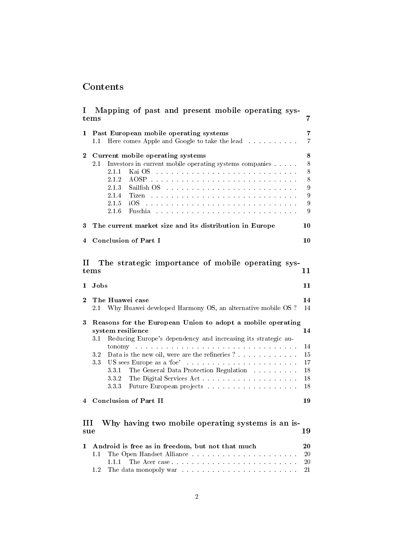## Contents

| $\mathbf{I}$                                                         | Mapping of past and present mobile operating sys-<br>tems                                                                                                                                                                                                                                                                                                                                                                                                                                                                                                                                                                                                                                                                                                                                                                                                                                                                                                                                                                                                                                                                                         | 7                                      |  |  |  |  |  |  |  |  |
|----------------------------------------------------------------------|---------------------------------------------------------------------------------------------------------------------------------------------------------------------------------------------------------------------------------------------------------------------------------------------------------------------------------------------------------------------------------------------------------------------------------------------------------------------------------------------------------------------------------------------------------------------------------------------------------------------------------------------------------------------------------------------------------------------------------------------------------------------------------------------------------------------------------------------------------------------------------------------------------------------------------------------------------------------------------------------------------------------------------------------------------------------------------------------------------------------------------------------------|----------------------------------------|--|--|--|--|--|--|--|--|
| 1                                                                    | Past European mobile operating systems<br>Here comes Apple and Google to take the lead<br>1.1                                                                                                                                                                                                                                                                                                                                                                                                                                                                                                                                                                                                                                                                                                                                                                                                                                                                                                                                                                                                                                                     | 7<br>7                                 |  |  |  |  |  |  |  |  |
| $\bf{2}$                                                             | Current mobile operating systems<br>$2.1\,$<br>Investors in current mobile operating systems companies<br>2.1.1<br>Kai OS and a construction of the construction of the construction of the construction of the construction of the construction of the construction of the construction of the construction of the construction of the construct<br>2.1.2<br>$2\;1\;3$<br>Sailfish OS and the community of the set of the set of the set of the set of the set of the set of the set of the set of the set of the set of the set of the set of the set of the set of the set of the set of the set of th<br>$2.1.4\,$<br>Tizen de la conservación de la conservación de la conservación de la conservación de la conservación de la conservación de la conservación de la conservación de la conservación de la conservación de la conservación de la c<br>$2.1.5\,$<br>iOS.<br>.<br>The contract of the contract of the contract of the contract of the contract of the contract of the contract of<br>2.1.6<br>Fuschia<br>.<br>The contract of the contract of the contract of the contract of the contract of the contract of the contract of | 8<br>8<br>8<br>8<br>9<br>9<br>9<br>9   |  |  |  |  |  |  |  |  |
| 3                                                                    | The current market size and its distribution in Europe<br>10                                                                                                                                                                                                                                                                                                                                                                                                                                                                                                                                                                                                                                                                                                                                                                                                                                                                                                                                                                                                                                                                                      |                                        |  |  |  |  |  |  |  |  |
| 4                                                                    | <b>Conclusion of Part I</b>                                                                                                                                                                                                                                                                                                                                                                                                                                                                                                                                                                                                                                                                                                                                                                                                                                                                                                                                                                                                                                                                                                                       | 10                                     |  |  |  |  |  |  |  |  |
| The strategic importance of mobile operating sys-<br>П<br>11<br>tems |                                                                                                                                                                                                                                                                                                                                                                                                                                                                                                                                                                                                                                                                                                                                                                                                                                                                                                                                                                                                                                                                                                                                                   |                                        |  |  |  |  |  |  |  |  |
| 1                                                                    | Jobs                                                                                                                                                                                                                                                                                                                                                                                                                                                                                                                                                                                                                                                                                                                                                                                                                                                                                                                                                                                                                                                                                                                                              | 11                                     |  |  |  |  |  |  |  |  |
| $\bf{2}$                                                             | The Huawei case<br>14<br>Why Huawei developed Harmony OS, an alternative mobile OS ?<br>14<br>2.1                                                                                                                                                                                                                                                                                                                                                                                                                                                                                                                                                                                                                                                                                                                                                                                                                                                                                                                                                                                                                                                 |                                        |  |  |  |  |  |  |  |  |
| 3                                                                    | Reasons for the European Union to adopt a mobile operating<br>system resilience<br>Reducing Europe's dependency and increasing its strategic au-<br>$3.1\,$<br>tonomy and a contract the contract of the contract of the contract of the contract of the contract of the contract of the contract of the contract of the contract of the contract of the contract of the contract of the cont<br>$3.2\,$<br>Data is the new oil, were are the refineries ?<br>3.3<br>331<br>The General Data Protection Regulation<br>The Digital Services Act<br>332<br>333<br>Future European projects                                                                                                                                                                                                                                                                                                                                                                                                                                                                                                                                                          | 14<br>14<br>15<br>17<br>18<br>18<br>18 |  |  |  |  |  |  |  |  |
| 4                                                                    | <b>Conclusion of Part II</b>                                                                                                                                                                                                                                                                                                                                                                                                                                                                                                                                                                                                                                                                                                                                                                                                                                                                                                                                                                                                                                                                                                                      | 19                                     |  |  |  |  |  |  |  |  |
| Ш<br>sue                                                             | Why having two mobile operating systems is an is-                                                                                                                                                                                                                                                                                                                                                                                                                                                                                                                                                                                                                                                                                                                                                                                                                                                                                                                                                                                                                                                                                                 | 19                                     |  |  |  |  |  |  |  |  |
| 1                                                                    | Android is free as in freedom, but not that much<br>1.1<br>1.1.1<br>1.2                                                                                                                                                                                                                                                                                                                                                                                                                                                                                                                                                                                                                                                                                                                                                                                                                                                                                                                                                                                                                                                                           | 20<br>20<br>20<br>21                   |  |  |  |  |  |  |  |  |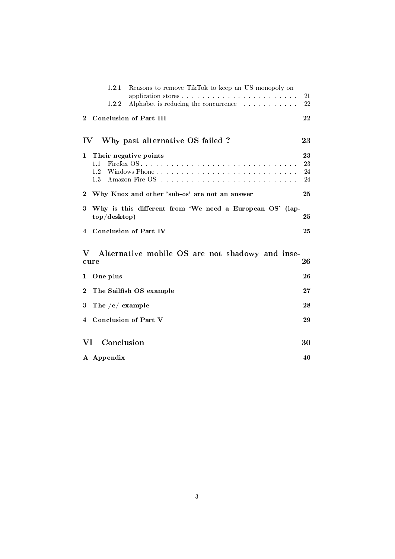|                        | 1.2.1<br>Reasons to remove TikTok to keep an US monopoly on                    | 21 |  |  |  |  |  |  |  |
|------------------------|--------------------------------------------------------------------------------|----|--|--|--|--|--|--|--|
|                        | Alphabet is reducing the concurrence<br>1.2.2                                  | 22 |  |  |  |  |  |  |  |
| $\mathbf{2}$           | <b>Conclusion of Part III</b>                                                  | 22 |  |  |  |  |  |  |  |
| $\mathbf{IV}$          | Why past alternative OS failed?                                                | 23 |  |  |  |  |  |  |  |
| 1<br>1.1<br>1.2<br>1.3 | 23<br>Their negative points<br>23<br>Windows Phone<br>24<br>24                 |    |  |  |  |  |  |  |  |
| $\bf{2}$               | Why Knox and other 'sub-os' are not an answer                                  | 25 |  |  |  |  |  |  |  |
| 3                      | Why is this different from 'We need a European OS' (lap-<br>top/desttop)<br>25 |    |  |  |  |  |  |  |  |
| 4                      | <b>Conclusion of Part IV</b>                                                   | 25 |  |  |  |  |  |  |  |
| V<br>cure              | Alternative mobile OS are not shadowy and inse-                                | 26 |  |  |  |  |  |  |  |
| One plus<br>1          |                                                                                | 26 |  |  |  |  |  |  |  |
| 2                      | The Sailfish OS example                                                        | 27 |  |  |  |  |  |  |  |
| 3                      | The $/e/$ example                                                              | 28 |  |  |  |  |  |  |  |
| 4                      | <b>Conclusion of Part V</b>                                                    | 29 |  |  |  |  |  |  |  |
| VI                     | Conclusion                                                                     | 30 |  |  |  |  |  |  |  |
| A Appendix             |                                                                                | 40 |  |  |  |  |  |  |  |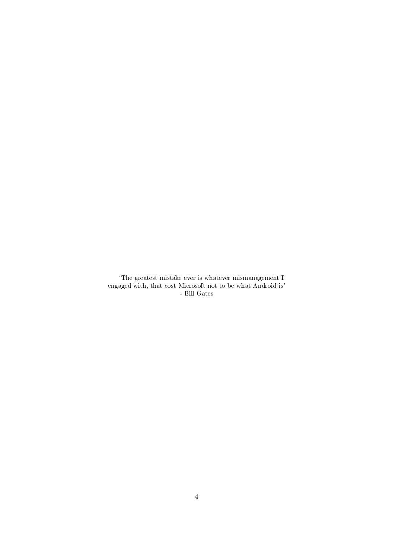`The greatest mistake ever is whatever mismanagement I engaged with, that cost Microsoft not to be what Android is' - Bill Gates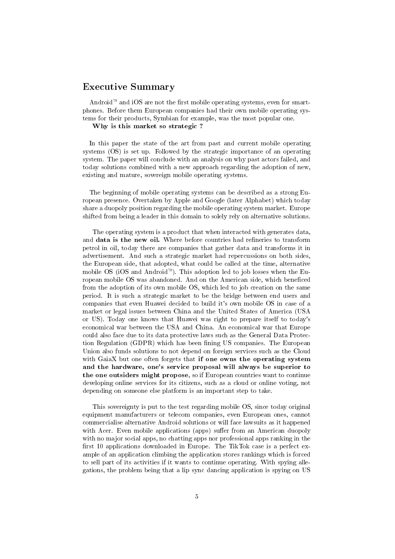## Executive Summary

Android<sup> $M$ </sup> and iOS are not the first mobile operating systems, even for smartphones. Before them European companies had their own mobile operating systems for their products, Symbian for example, was the most popular one.

#### Why is this market so strategic ?

In this paper the state of the art from past and current mobile operating systems (OS) is set up. Followed by the strategic importance of an operating system. The paper will conclude with an analysis on why past actors failed, and today solutions combined with a new approach regarding the adoption of new, existing and mature, sovereign mobile operating systems.

The beginning of mobile operating systems can be described as a strong European presence. Overtaken by Apple and Google (later Alphabet) which today share a duopoly position regarding the mobile operating system market. Europe shifted from being a leader in this domain to solely rely on alternative solutions.

The operating system is a product that when interacted with generates data, and data is the new oil. Where before countries had refineries to transform petrol in oil, today there are companies that gather data and transforms it in advertisement. And such a strategic market had repercussions on both sides, the European side, that adopted, what could be called at the time, alternative mobile OS (iOS and Android<sup>™</sup>). This adoption led to job losses when the European mobile OS was abandoned. And on the American side, which beneficed from the adoption of its own mobile OS, which led to job creation on the same period. It is such a strategic market to be the bridge between end users and companies that even Huawei decided to build it's own mobile OS in case of a market or legal issues between China and the United States of America (USA or US). Today one knows that Huawei was right to prepare itself to today's economical war between the USA and China. An economical war that Europe could also face due to its data protective laws such as the General Data Protection Regulation (GDPR) which has been fining US companies. The European Union also funds solutions to not depend on foreign services such as the Cloud with GaiaX but one often forgets that if one owns the operating system and the hardware, one's service proposal will always be superior to the one outsiders might propose, so if European countries want to continue developing online services for its citizens, such as a cloud or online voting, not depending on someone else platform is an important step to take.

This sovereignty is put to the test regarding mobile OS, since today original equipment manufacturers or telecom companies, even European ones, cannot commercialise alternative Android solutions or will face lawsuits as it happened with Acer. Even mobile applications (apps) suffer from an American duopoly with no major social apps, no chatting apps nor professional apps ranking in the first 10 applications downloaded in Europe. The TikTok case is a perfect example of an application climbing the application stores rankings which is forced to sell part of its activities if it wants to continue operating. With spying allegations, the problem being that a lip sync dancing application is spying on US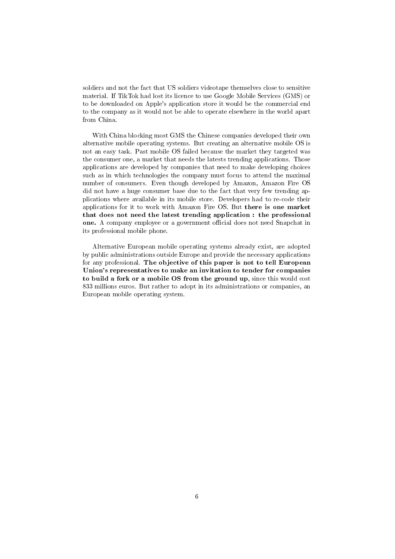soldiers and not the fact that US soldiers videotape themselves close to sensitive material. If TikTok had lost its licence to use Google Mobile Services (GMS) or to be downloaded on Apple's application store it would be the commercial end to the company as it would not be able to operate elsewhere in the world apart from China.

With China blocking most GMS the Chinese companies developed their own alternative mobile operating systems. But creating an alternative mobile OS is not an easy task. Past mobile OS failed because the market they targeted was the consumer one, a market that needs the latests trending applications. Those applications are developed by companies that need to make developing choices such as in which technologies the company must focus to attend the maximal number of consumers. Even though developed by Amazon, Amazon Fire OS did not have a huge consumer base due to the fact that very few trending applications where available in its mobile store. Developers had to re-code their applications for it to work with Amazon Fire OS. But there is one market that does not need the latest trending application : the professional one. A company employee or a government official does not need Snapchat in its professional mobile phone.

Alternative European mobile operating systems already exist, are adopted by public administrations outside Europe and provide the necessary applications for any professional. The objective of this paper is not to tell European Union's representatives to make an invitation to tender for companies to build a fork or a mobile OS from the ground up, since this would cost 833 millions euros. But rather to adopt in its administrations or companies, an European mobile operating system.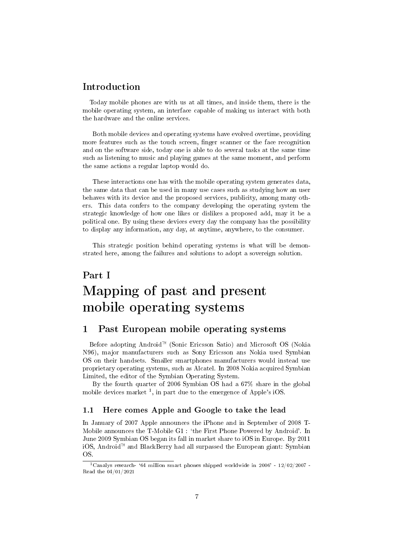## Introduction

Today mobile phones are with us at all times, and inside them, there is the mobile operating system, an interface capable of making us interact with both the hardware and the online services.

Both mobile devices and operating systems have evolved overtime, providing more features such as the touch screen, finger scanner or the face recognition and on the software side, today one is able to do several tasks at the same time such as listening to music and playing games at the same moment, and perform the same actions a regular laptop would do.

These interactions one has with the mobile operating system generates data, the same data that can be used in many use cases such as studying how an user behaves with its device and the proposed services, publicity, among many others. This data confers to the company developing the operating system the strategic knowledge of how one likes or dislikes a proposed add, may it be a political one. By using these devices every day the company has the possibility to display any information, any day, at anytime, anywhere, to the consumer.

This strategic position behind operating systems is what will be demonstrated here, among the failures and solutions to adopt a sovereign solution.

# <span id="page-6-0"></span>Part I Mapping of past and present mobile operating systems

## <span id="page-6-1"></span>1 Past European mobile operating systems

Before adopting Android<sup>™</sup> (Sonic Ericsson Satio) and Microsoft OS (Nokia N96), major manufacturers such as Sony Ericsson ans Nokia used Symbian OS on their handsets. Smaller smartphones manufacturers would instead use proprietary operating systems, such as Alcatel. In 2008 Nokia acquired Symbian Limited, the editor of the Symbian Operating System.

By the fourth quarter of 2006 Symbian OS had a 67% share in the global mobile devices market<sup>[1](#page-6-3)</sup>, in part due to the emergence of Apple's iOS.

### <span id="page-6-2"></span>1.1 Here comes Apple and Google to take the lead

In January of 2007 Apple announces the iPhone and in September of 2008 T-Mobile announces the T-Mobile G1 : `the First Phone Powered by Android'. In June 2009 Symbian OS began its fall in market share to iOS in Europe. By 2011 iOS, Android<sup> $M$ </sup> and BlackBerry had all surpassed the European giant: Symbian OS.

<span id="page-6-3"></span><sup>&</sup>lt;sup>1</sup>Canalys research- '64 million smart phones shipped worldwide in 2006' -  $12/02/2007$  -Read the 04/01/2021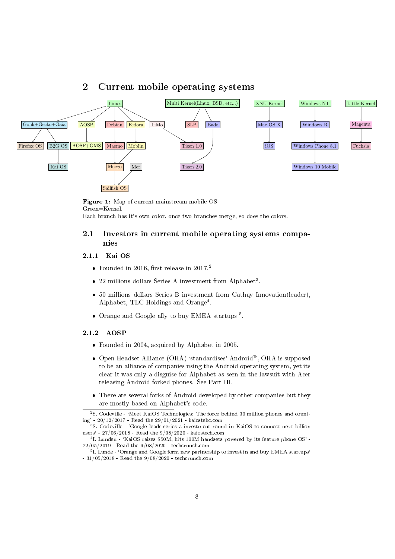## <span id="page-7-0"></span>2 Current mobile operating systems



Figure 1: Map of current mainstream mobile OS Green=Kernel. Each branch has it's own color, once two branches merge, so does the colors.

### <span id="page-7-1"></span>2.1 Investors in current mobile operating systems companies

### <span id="page-7-2"></span>2.1.1 Kai OS

- Founded in [2](#page-7-4)016, first release in 2017.<sup>2</sup>
- $\bullet$  22 millions dollars Series A investment from Alphabet<sup>[3](#page-7-5)</sup>.
- 50 millions dollars Series B investment from Cathay Innovation(leader), Alphabet, TLC Holdings and Orange<sup>[4](#page-7-6)</sup>.
- Orange and Google ally to buy EMEA startups<sup>[5](#page-7-7)</sup>.

#### <span id="page-7-3"></span>2.1.2 AOSP

- Founded in 2004, acquired by Alphabet in 2005.
- Open Headset Alliance (OHA) 'standardises' Android<sup>™</sup>, OHA is supposed to be an alliance of companies using the Android operating system, yet its clear it was only a disguise for Alphabet as seen in the lawsuit with Acer releasing Android forked phones. See Part III.
- There are several forks of Android developed by other companies but they are mostly based on Alphabet's code.

<span id="page-7-4"></span><sup>2</sup>S. Codeville - `Meet KaiOS Technologies: The force behind 30 million phones and counting' - 20/12/2017 - Read the 29/01/2021 - kaiostehc.com <sup>3</sup>S. Codeville - `Google leads series a investment round in KaiOS to connect next billion

<span id="page-7-5"></span>users' - 27/06/2018 - Read the 9/08/2020 - kaiostech.com

<span id="page-7-6"></span> $^{4}$ I. Lunden - 'KaiOS raises \$50M, hits 100M handsets powered by its feature phone OS' -22/05/2019 - Read the 9/08/2020 - techcrunch.com

<span id="page-7-7"></span> $^5$ I. Lunde - 'Orange and Google form new partnership to invest in and buy EMEA startups' - 31/05/2018 - Read the 9/08/2020 - techcrunch.com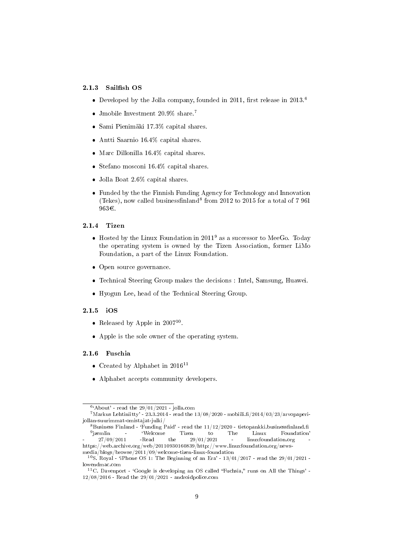### <span id="page-8-0"></span>2.1.3 Sailfish OS

- Developed by the Jolla company, founded in 2011, first release in 2013.<sup>[6](#page-8-4)</sup>
- Jmobile Investment 20.9% share.<sup>[7](#page-8-5)</sup>
- Sami Pienimaki 17.3% capital shares.
- Antti Saarnio 16.4% capital shares.
- Marc Dillonilla 16.4% capital shares.
- Stefano mosconi 16.4% capital shares.
- Jolla Boat 2.6% capital shares.
- Funded by the the Finnish Funding Agency for Technology and Innovation (Tekes), now called businessfinland<sup>[8](#page-8-6)</sup> from 2012 to 2015 for a total of 7 961 963€.

#### <span id="page-8-1"></span>2.1.4 Tizen

- $\bullet$  Hosted by the Linux Foundation in 2011<sup>[9](#page-8-7)</sup> as a successor to MeeGo. Today the operating system is owned by the Tizen Association, former LiMo Foundation, a part of the Linux Foundation.
- Open source governance.
- Technical Steering Group makes the decisions : Intel, Samsung, Huawei.
- Hyogun Lee, head of the Technical Steering Group.

### <span id="page-8-2"></span>2.1.5 iOS

- Released by Apple in  $2007^{10}$  $2007^{10}$  $2007^{10}$ .
- Apple is the sole owner of the operating system.

### <span id="page-8-3"></span>2.1.6 Fuschia

- Created by Alphabet in  $2016^{11}$  $2016^{11}$  $2016^{11}$
- Alphabet accepts community developers.

<span id="page-8-5"></span><span id="page-8-4"></span> $6$ <sup>6</sup>'About' - read the 29/01/2021 - jolla.com

 $7$ Markus Lehtiniitty' - 23.3.2014 - read the  $13/08/2020$  - mobiili.fi/2014/03/23/arvopaperijollan-suurimmat-omistajat-julki/

<span id="page-8-7"></span><span id="page-8-6"></span><sup>&</sup>lt;sup>8</sup>Business Finland - 'Funding Paid' - read the  $\frac{11}{12}/\frac{2020}$  - tietopankki.businessfinland.fi<br><sup>9</sup>izemlin - 'Welcome Tizen to The Linux Foundation <sup>9</sup>izemlin emlin - 'Welcome Tizen to The Linux  $27/09/2011$  -Read the  $29/01/2021$  - linuxfou the  $29/01/2021$  - linuxfoundation.org https://web.archive.org/web/20110930160839/http://www.linuxfoundation.org/newsmedia/blogs/browse/2011/09/welcome-tizen-linux-foundation

<span id="page-8-8"></span><sup>&</sup>lt;sup>10</sup>S. Royal - 'iPhone OS 1: The Beginning of an Era' -  $13/01/2017$  - read the 29/01/2021 lowendmac.com

<span id="page-8-9"></span> $11C$ . Davenport - 'Google is developing an OS called "Fuchsia," runs on All the Things' - $12/08/2016$  - Read the  $29/01/2021$  - androidpolice.com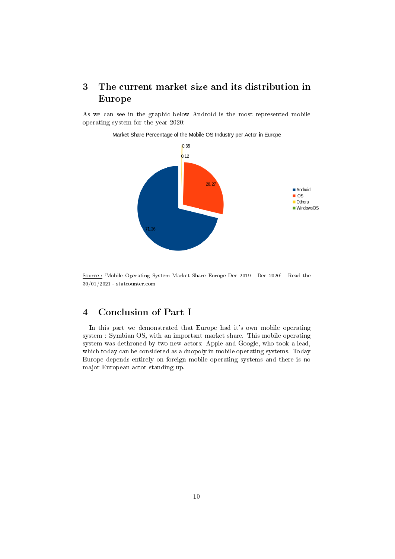## <span id="page-9-0"></span>3 The current market size and its distribution in Europe

As we can see in the graphic below Android is the most represented mobile operating system for the year 2020:



Market Share Percentage of the Mobile OS Industry per Actor in Europe

Source : 'Mobile Operating System Market Share Europe Dec 2019 - Dec 2020' - Read the 30/01/2021 - statcounter.com

## <span id="page-9-1"></span>4 Conclusion of Part I

In this part we demonstrated that Europe had it's own mobile operating system : Symbian OS, with an important market share. This mobile operating system was dethroned by two new actors: Apple and Google, who took a lead, which today can be considered as a duopoly in mobile operating systems. Today Europe depends entirely on foreign mobile operating systems and there is no major European actor standing up.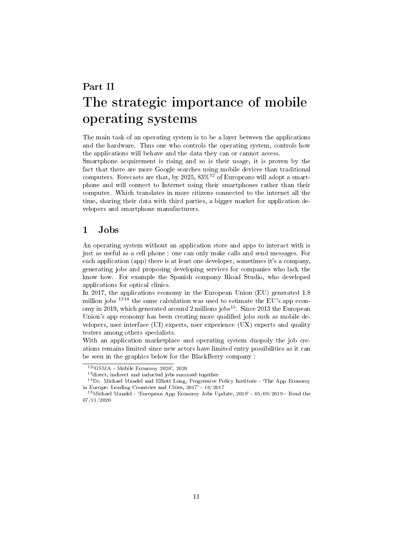# <span id="page-10-0"></span>Part II The strategic importance of mobile operating systems

The main task of an operating system is to be a layer between the applications and the hardware. Thus one who controls the operating system, controls how the applications will behave and the data they can or cannot access.

Smartphone acquirement is rising and so is their usage, it is proven by the fact that there are more Google searches using mobile devices than traditional computers. Forecasts are that, by 2025,  $83\%^{12}$  $83\%^{12}$  $83\%^{12}$  of Europeans will adopt a smartphone and will connect to Internet using their smartphones rather than their computer. Which translates in more citizens connected to the internet all the time, sharing their data with third parties, a bigger market for application developers and smartphone manufacturers.

## <span id="page-10-1"></span>1 Jobs

An operating system without an application store and apps to interact with is just as useful as a cell phone : one can only make calls and send messages. For each application (app) there is at least one developer, sometimes it's a company, generating jobs and proposing developing services for companies who lack the know how. For example the Spanish company Rload Studio, who developed applications for optical clinics.

In 2017, the applications economy in the European Union (EU) generated 1.8 million jobs <sup>[13](#page-10-3)[14](#page-10-4)</sup> the same calculation was used to estimate the EU's app econ-omy in 2019, which generated around 2 millions jobs<sup>[15](#page-10-5)</sup>. Since 2013 the European Union's app economy has been creating more qualified jobs such as mobile developers, user interface (UI) experts, user experience (UX) experts and quality testers among others specialists.

With an application marketplace and operating system duopoly the job creations remains limited since new actors have limited entry possibilities as it can be seen in the graphics below for the BlackBerry company :

<span id="page-10-2"></span><sup>12</sup>`GSMA - Mobile Economy 2020', 2020

<span id="page-10-4"></span><span id="page-10-3"></span><sup>&</sup>lt;sup>13</sup> direct, indirect and inducted jobs summed together

<sup>&</sup>lt;sup>14</sup>Dr. Michael Mandel and Elliott Long, Progressive Policy Institute - 'The App Economy in Europe: Leading Countries and Cities, 2017' - 10/2017

<span id="page-10-5"></span> $15$ Michael Mandel - 'European App Economy Jobs Update, 2019' - 05/09/2019 - Read the 07/11/2020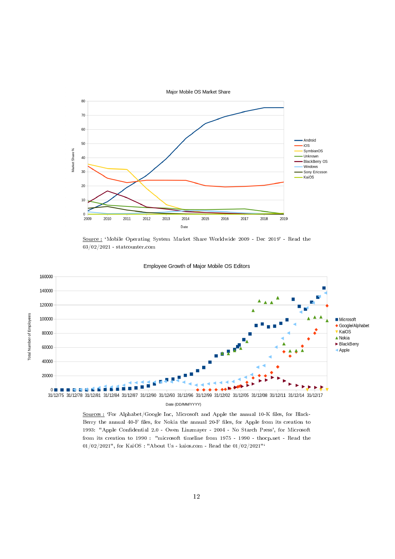

Source: 'Mobile Operating System Market Share Worldwide 2009 - Dec 2019' - Read the 03/02/2021 - statcounter.com



#### Employee Growth of Major Mobile OS Editors

Sources : 'For Alphabet/Google Inc, Microsoft and Apple the annual 10-K files, for Black-Berry the annual 40-F files, for Nokia the annual 20-F files, for Apple from its creation to 1993: "Apple Condential 2.0 - Owen Linzmayer - 2004 - No Starch Press', for Microsoft from its creation to 1990 : "microsoft timeline from 1975 - 1990 - thocp.net - Read the 01/02/2021", for KaiOS : "About Us - kaios.com - Read the  $01/02/2021$ "<sup>'</sup>

12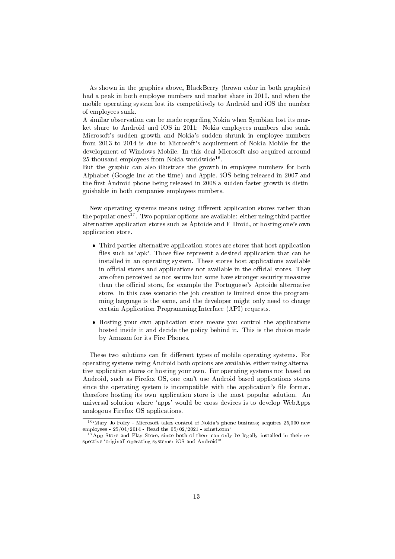As shown in the graphics above, BlackBerry (brown color in both graphics) had a peak in both employee numbers and market share in 2010, and when the mobile operating system lost its competitively to Android and iOS the number of employees sunk.

A similar observation can be made regarding Nokia when Symbian lost its market share to Android and iOS in 2011: Nokia employees numbers also sunk. Microsoft's sudden growth and Nokia's sudden shrunk in employee numbers from 2013 to 2014 is due to Microsoft's acquirement of Nokia Mobile for the development of Windows Mobile. In this deal Microsoft also acquired arround 25 thousand employees from Nokia worldwide<sup>[16](#page-12-0)</sup>.

But the graphic can also illustrate the growth in employee numbers for both Alphabet (Google Inc at the time) and Apple. iOS being released in 2007 and the first Android phone being released in 2008 a sudden faster growth is distinguishable in both companies employees numbers.

New operating systems means using different application stores rather than the popular ones<sup>[17](#page-12-1)</sup>. Two popular options are available: either using third parties alternative application stores such as Aptoide and F-Droid, or hosting one's own application store.

- Third parties alternative application stores are stores that host application files such as 'apk'. Those files represent a desired application that can be installed in an operating system. These stores host applications available in official stores and applications not available in the official stores. They are often perceived as not secure but some have stronger security measures than the official store, for example the Portuguese's Aptoide alternative store. In this case scenario the job creation is limited since the programming language is the same, and the developer might only need to change certain Application Programming Interface (API) requests.
- Hosting your own application store means you control the applications hosted inside it and decide the policy behind it. This is the choice made by Amazon for its Fire Phones.

These two solutions can fit different types of mobile operating systems. For operating systems using Android both options are available, either using alternative application stores or hosting your own. For operating systems not based on Android, such as Firefox OS, one can't use Android based applications stores since the operating system is incompatible with the application's file format, therefore hosting its own application store is the most popular solution. An universal solution where `apps' would be cross devices is to develop WebApps analogous Firefox OS applications.

<span id="page-12-0"></span> $16$ <sup>6</sup>Mary Jo Foley - Microsoft takes control of Nokia's phone business; acquires 25,000 new employees -  $25/04/2014$  - Read the  $05/02/2021$  - zdnet.com<sup>.</sup>

<span id="page-12-1"></span> $17$  App Store and Play Store, since both of them can only be legally installed in their respective 'original' operating systems:  $iOS$  and Android<sup>™</sup>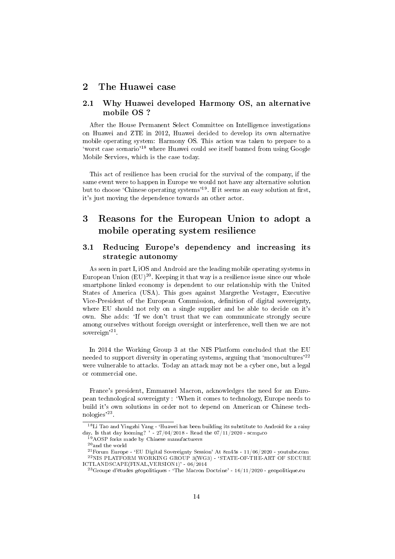## <span id="page-13-0"></span>2 The Huawei case

### <span id="page-13-1"></span>2.1 Why Huawei developed Harmony OS, an alternative mobile OS ?

After the House Permanent Select Committee on Intelligence investigations on Huawei and ZTE in 2012, Huawei decided to develop its own alternative mobile operating system: Harmony OS. This action was taken to prepare to a `worst case scenario'[18](#page-13-4) where Huawei could see itself banned from using Google Mobile Services, which is the case today.

This act of resilience has been crucial for the survival of the company, if the same event were to happen in Europe we would not have any alternative solution but to choose 'Chinese operating systems'<sup>[19](#page-13-5)</sup>. If it seems an easy solution at first, it's just moving the dependence towards an other actor.

## <span id="page-13-2"></span>3 Reasons for the European Union to adopt a mobile operating system resilience

### <span id="page-13-3"></span>3.1 Reducing Europe's dependency and increasing its strategic autonomy

As seen in part I, iOS and Android are the leading mobile operating systems in European Union  $(EU)^{20}$  $(EU)^{20}$  $(EU)^{20}$ . Keeping it that way is a resilience issue since our whole smartphone linked economy is dependent to our relationship with the United States of America (USA). This goes against Margrethe Vestager, Executive Vice-President of the European Commission, definition of digital sovereignty, where EU should not rely on a single supplier and be able to decide on it's own. She adds: `If we don't trust that we can communicate strongly secure among ourselves without foreign oversight or interference, well then we are not sovereign'<sup>[21](#page-13-7)</sup>.

In 2014 the Working Group 3 at the NIS Platform concluded that the EU needed to support diversity in operating systems, arguing that 'monocultures'<sup>[22](#page-13-8)</sup> were vulnerable to attacks. Today an attack may not be a cyber one, but a legal or commercial one.

France's president, Emmanuel Macron, acknowledges the need for an European technological sovereignty : `When it comes to technology, Europe needs to build it's own solutions in order not to depend on American or Chinese technologies'[23](#page-13-9) .

<span id="page-13-4"></span> $^{18}{\rm Li}$ Tao and Yingzhi Yang - 'Huawei has been building its substitute to Android for a rainy day. Is that day looming? ' -  $27/04/2018$  - Read the  $07/11/2020$  - scmp.co

<span id="page-13-5"></span><sup>&</sup>lt;sup>9</sup>AOSP forks made by Chinese manufacturers

<span id="page-13-7"></span><span id="page-13-6"></span> $\rm ^{20}$  and the world

<span id="page-13-8"></span> $^{21}$ Forum Europe - 'EU Digital Sovereignty Session' At 8m45s -  $11/06/2020$  - youtube.com  $^{22}$ NIS PLATFORM WORKING GROUP 3(WG3) - 'STATE-OF-THE-ART OF SECURE ICTLANDSCAPE(FINAL,VERSION1)' - 06/2014

<span id="page-13-9"></span> $^{23}$ Groupe d'études géopolitiques - 'The Macron Doctrine' - 16/11/2020 - geopolitique.eu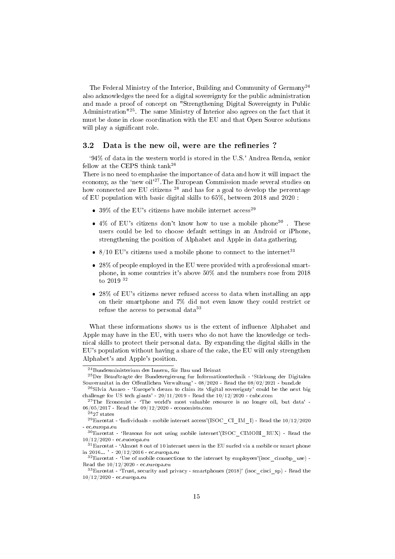The Federal Ministry of the Interior, Building and Community of Germany<sup>[24](#page-14-1)</sup> also acknowledges the need for a digital sovereignty for the public administration and made a proof of concept on "Strengthening Digital Sovereignty in Public Administration"[25](#page-14-2). The same Ministry of Interior also agrees on the fact that it must be done in close coordination with the EU and that Open Source solutions will play a significant role.

#### <span id="page-14-0"></span>3.2 Data is the new oil, were are the refineries?

`94% of data in the western world is stored in the U.S.' Andrea Renda, senior fellow at the CEPS think tank[26](#page-14-3)

There is no need to emphasise the importance of data and how it will impact the economy, as the 'new oil'<sup>[27](#page-14-4)</sup>. The European Commission made several studies on how connected are EU citizens<sup>[28](#page-14-5)</sup> and has for a goal to develop the percentage of EU population with basic digital skills to 65%, between 2018 and 2020 :

- 39% of the EU's citizens have mobile internet  $\arccos^{29}$  $\arccos^{29}$  $\arccos^{29}$
- $\bullet$  4% of EU's citizens don't know how to use a mobile phone<sup>[30](#page-14-7)</sup>. These users could be led to choose default settings in an Android or iPhone, strengthening the position of Alphabet and Apple in data gathering.
- $8/10$  EU's citizens used a mobile phone to connect to the internet<sup>[31](#page-14-8)</sup>
- 28% of people employed in the EU were provided with a professional smartphone, in some countries it's above 50% and the numbers rose from 2018 to 2019 [32](#page-14-9)
- 28% of EU's citizens never refused access to data when installing an app on their smartphone and 7% did not even know they could restrict or refuse the access to personal data[33](#page-14-10)

What these informations shows us is the extent of influence Alphabet and Apple may have in the EU, with users who do not have the knowledge or technical skills to protect their personal data. By expanding the digital skills in the EU's population without having a share of the cake, the EU will only strengthen Alphabet's and Apple's position.

<span id="page-14-2"></span><span id="page-14-1"></span> $^{24}\rm{B}$ undesministerium des Innern, für Bau und Heimat

<sup>&</sup>lt;sup>25</sup>Der Beauftragte der Bundesregierung fur Informationstechnik - 'Stärkung der Digitalen Souveranitat in der Offentlichen Verwaltung' - 08/2020 - Read the 08/02/2021 - bund.de

<span id="page-14-3"></span> $^{26}$ Silvia Amaro - 'Europe's dream to claim its 'digital sovereignty' could be the next big challenge for US tech giants' -  $20/11/2019$  - Read the  $10/12/2020$  - cnbc.com

<span id="page-14-4"></span> $27$ The Economist - 'The world's most valuable resource is no longer oil, but data' -06/05/2017 - Read the 09/12/2020 - economists.com

<span id="page-14-6"></span><span id="page-14-5"></span> $2827$  states

 $^{29}$ Eurostat - 'Individuals - mobile internet access'(ISOC\_CI\_IM\_I) - Read the  $10/12/2020$ - ec.europa.eu

<span id="page-14-7"></span><sup>30</sup>Eurostat - `Reasons for not using mobile internet'(ISOC\_CIMOBI\_RUX) - Read the 10/12/2020 - ec.euoropa.eu

<span id="page-14-8"></span> $31$ Eurostat - 'Almost 8 out of 10 internet users in the EU surfed via a mobile or smart phone in 2016... ' - 20/12/2016 - ec.europa.eu

<span id="page-14-9"></span> $32$ Eurostat - 'Use of mobile connections to the internet by employees'(isoc\_cimobp\_use) -Read the 10/12/2020 - ec.europa.eu

<span id="page-14-10"></span> $33$ Eurostat - 'Trust, security and privacy - smartphones (2018)' (isoc\_cisci\_sp) - Read the 10/12/2020 - ec.europa.eu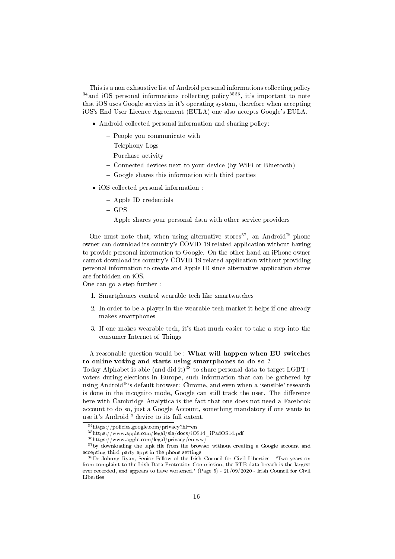This is a non exhaustive list of Android personal informations collecting policy  $34$ and iOS personal informations collecting policy<sup>[35](#page-15-1)[36](#page-15-2)</sup>, it's important to note that iOS uses Google services in it's operating system, therefore when accepting iOS's End User Licence Agreement (EULA) one also accepts Google's EULA.

- Android collected personal information and sharing policy:
	- People you communicate with
	- Telephony Logs
	- Purchase activity
	- Connected devices next to your device (by WiFi or Bluetooth)
	- $-$  Google shares this information with third parties
- iOS collected personal information :
	- Apple ID credentials
	- $-$  GPS
	- Apple shares your personal data with other service providers

One must note that, when using alternative stores<sup>[37](#page-15-3)</sup>, an Android<sup>™</sup> phone owner can download its country's COVID-19 related application without having to provide personal information to Google. On the other hand an iPhone owner cannot download its country's COVID-19 related application without providing personal information to create and Apple ID since alternative application stores are forbidden on iOS.

One can go a step further :

- 1. Smartphones control wearable tech like smartwatches
- 2. In order to be a player in the wearable tech market it helps if one already makes smartphones
- 3. If one makes wearable tech, it's that much easier to take a step into the consumer Internet of Things

### A reasonable question would be : What will happen when EU switches to online voting and starts using smartphones to do so ?

Today Alphabet is able (and did it)<sup>[38](#page-15-4)</sup> to share personal data to target LGBT+ voters during elections in Europe, such information that can be gathered by using Android<sup>™</sup>'s default browser: Chrome, and even when a 'sensible' research is done in the incognito mode, Google can still track the user. The difference here with Cambridge Analytica is the fact that one does not need a Facebook account to do so, just a Google Account, something mandatory if one wants to use it's Android<sup> $M$ </sup> device to its full extent.

<span id="page-15-0"></span> $34$ https://policies.google.com/privacy?hl=en

<span id="page-15-1"></span><sup>35</sup>https://www.apple.com/legal/sla/docs/iOS14\_iPadOS14.pdf

<span id="page-15-3"></span><span id="page-15-2"></span><sup>36</sup>https://www.apple.com/legal/privacy/en-ww/

 $37$  by downloading the .apk file from the browser without creating a Google account and accepting third party apps in the phone settings

<span id="page-15-4"></span><sup>&</sup>lt;sup>38</sup>Dr Johnny Ryan, Senior Fellow of the Irish Council for Civil Liberties - 'Two years on from complaint to the Irish Data Protection Commission, the RTB data breach is the largest ever recorded, and appears to have worsened.' (Page 5) - 21/09/2020 - Irish Council for Civil Liberties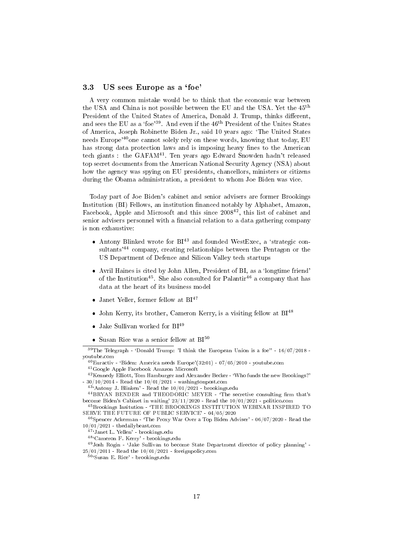### <span id="page-16-0"></span>3.3 US sees Europe as a 'foe'

A very common mistake would be to think that the economic war between the USA and China is not possible between the EU and the USA. Yet the 45th President of the United States of America, Donald J. Trump, thinks different, and sees the EU as a 'foe'<sup>[39](#page-16-1)</sup>. And even if the 46<sup>th</sup> President of the Unites States of America, Joseph Robinette Biden Jr., said 10 years ago: `The United States needs Europe'<sup>[40](#page-16-2)</sup>one cannot solely rely on these words, knowing that today, EU has strong data protection laws and is imposing heavy fines to the American tech giants : the GAFAM[41](#page-16-3). Ten years ago Edward Snowden hadn't released top secret documents from the American National Security Agency (NSA) about how the agency was spying on EU presidents, chancellors, ministers or citizens during the Obama administration, a president to whom Joe Biden was vice.

Today part of Joe Biden's cabinet and senior advisers are former Brookings Institution (BI) Fellows, an institution financed notably by Alphabet, Amazon, Facebook, Apple and Microsoft and this since 2008<sup>[42](#page-16-4)</sup>, this list of cabinet and senior advisers personnel with a financial relation to a data gathering company is non exhaustive:

- $\bullet$  Antony Blinked wrote for  $BI^{43}$  $BI^{43}$  $BI^{43}$  and founded WestExec, a 'strategic con-sultants<sup>'[44](#page-16-6)</sup> company, creating relationships between the Pentagon or the US Department of Defence and Silicon Valley tech startups
- Avril Haines is cited by John Allen, President of BI, as a 'longtime friend' of the Institution<sup>[45](#page-16-7)</sup>. She also consulted for Palantir<sup>[46](#page-16-8)</sup> a company that has data at the heart of its business model
- Janet Yeller, former fellow at  $BI^{47}$  $BI^{47}$  $BI^{47}$
- John Kerry, its brother, Cameron Kerry, is a visiting fellow at  $BI^{48}$  $BI^{48}$  $BI^{48}$
- $\bullet$  Jake Sullivan worked for BI<sup>[49](#page-16-11)</sup>
- <span id="page-16-1"></span>• Susan Rice was a senior fellow at  $BI^{50}$  $BI^{50}$  $BI^{50}$

 $39$ The Telegraph - 'Donald Trump: 'I think the European Union is a foe'' -  $16/07/2018$  youtube.com

<span id="page-16-4"></span><sup>41</sup>Google Apple Facebook Amazon Microsoft

<sup>42</sup>Kennedy Elliott, Tom Hamburger and Alexander Becker - `Who funds the new Brookings?' -  $30/10/2014$  - Read the  $10/01/2021$  - washingtonpost.com

<span id="page-16-7"></span><sup>45</sup>Brookings Insitution - `THE BROOKINGS INSTITUTION WEBINAR INSPIRED TO SERVE THE FUTURE OF PUBLIC SERVICE' - 04/05/2020

<span id="page-16-8"></span> $46$ Spencer Ackerman - 'The Proxy War Over a Top Biden Adviser' -  $06/07/2020$  - Read the 10/01/2021 - thedailybeast.com

<sup>49</sup>Josh Rogin - `Jake Sullivan to become State Department director of policy planning' - 25/01/2011 - Read the 10/01/2021 - foreignpolicy.com

<span id="page-16-12"></span><sup>50</sup>'Susan E. Rice' - brookings.edu

<span id="page-16-3"></span><span id="page-16-2"></span> $^{40}$ Euractiv - 'Biden: America needs Europe'(32:01) - 07/05/2010 - youtube.com

<span id="page-16-6"></span><span id="page-16-5"></span> $43^{\circ}$ Antony J. Blinken' - Read the  $10/01/2021$  - brookings.edu

 $^{44}$ BRYAN BENDER and THEODORIC MEYER - 'The secretive consulting firm that's become Biden's Cabinet in waiting' 23/11/2020 - Read the 10/01/2021 - politico.com

<span id="page-16-9"></span><sup>&</sup>lt;sup>47</sup>'Janet L. Yellen' - brookings.edu

<span id="page-16-11"></span><span id="page-16-10"></span><sup>48</sup>`Cameron F. Kerry' - brookings.edu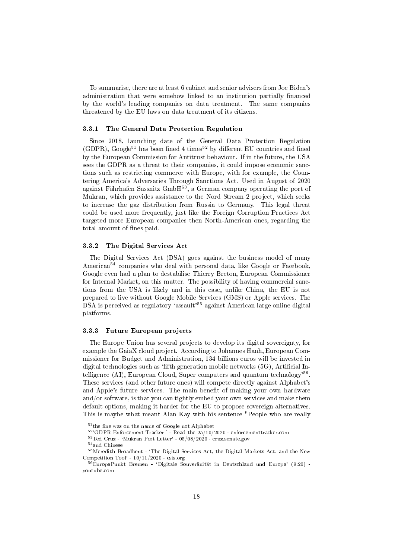To summarise, there are at least 6 cabinet and senior advisers from Joe Biden's administration that were somehow linked to an institution partially financed by the world's leading companies on data treatment. The same companies threatened by the EU laws on data treatment of its citizens.

#### <span id="page-17-0"></span>3.3.1 The General Data Protection Regulation

Since 2018, launching date of the General Data Protection Regulation (GDPR), Google<sup>[51](#page-17-3)</sup> has been fined 4 times<sup>[52](#page-17-4)</sup> by different EU countries and fined by the European Commission for Antitrust behaviour. If in the future, the USA sees the GDPR as a threat to their companies, it could impose economic sanctions such as restricting commerce with Europe, with for example, the Countering America's Adversaries Through Sanctions Act. Used in August of 2020 against Fahrhafen Sassnitz GmbH[53](#page-17-5), a German company operating the port of Mukran, which provides assistance to the Nord Stream 2 project, which seeks to increase the gaz distribution from Russia to Germany. This legal threat could be used more frequently, just like the Foreign Corruption Practices Act targeted more European companies then North-American ones, regarding the total amount of fines paid.

### <span id="page-17-1"></span>3.3.2 The Digital Services Act

The Digital Services Act (DSA) goes against the business model of many American<sup>[54](#page-17-6)</sup> companies who deal with personal data, like Google or Facebook, Google even had a plan to destabilise Thierry Breton, European Commissioner for Internal Market, on this matter. The possibility of having commercial sanctions from the USA is likely and in this case, unlike China, the EU is not prepared to live without Google Mobile Services (GMS) or Apple services. The DSA is perceived as regulatory 'assault'<sup>[55](#page-17-7)</sup> against American large online digital platforms.

#### <span id="page-17-2"></span>3.3.3 Future European projects

The Europe Union has several projects to develop its digital sovereignty, for example the GaiaX cloud project. According to Johannes Hanh, European Commissioner for Budget and Administration, 134 billions euros will be invested in digital technologies such as 'fifth generation mobile networks  $(5G)$ , Artificial In-telligence (AI), European Cloud, Super computers and quantum technology<sup>'[56](#page-17-8)</sup>. These services (and other future ones) will compete directly against Alphabet's and Apple's future services. The main benefit of making your own hardware and/or software, is that you can tightly embed your own services and make them default options, making it harder for the EU to propose sovereign alternatives. This is maybe what meant Alan Kay with his sentence "People who are really

<span id="page-17-3"></span> $51$ <sub>the fine was</sub> on the name of Google not Alphabet

<span id="page-17-4"></span><sup>52</sup>`GDPR Enforcement Tracker ' - Read the 25/10/2020 - enforcementtracker.com

<span id="page-17-5"></span> $53$ Ted Cruz - 'Mukran Port Letter' -  $05/08/2020$  - cruz.senate.gov

<span id="page-17-7"></span><span id="page-17-6"></span><sup>54</sup>and Chinese

<sup>55</sup>Meredith Broadbent - `The Digital Services Act, the Digital Markets Act, and the New Competition Tool' - 10/11/2020 - csis.org

<span id="page-17-8"></span> $56$ EuropaPunkt Bremen - 'Digitale Souveränität in Deutschland und Europa' (9:20) youtube.com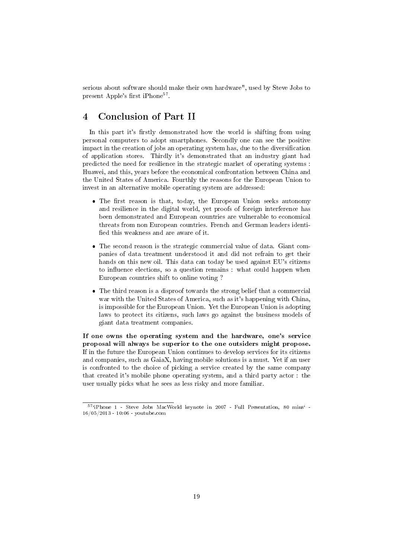serious about software should make their own hardware", used by Steve Jobs to present Apple's first iPhone<sup>[57](#page-18-2)</sup>.

## <span id="page-18-0"></span>4 Conclusion of Part II

In this part it's firstly demonstrated how the world is shifting from using personal computers to adopt smartphones. Secondly one can see the positive impact in the creation of jobs an operating system has, due to the diversification of application stores. Thirdly it's demonstrated that an industry giant had predicted the need for resilience in the strategic market of operating systems : Huawei, and this, years before the economical confrontation between China and the United States of America. Fourthly the reasons for the European Union to invest in an alternative mobile operating system are addressed:

- $\bullet$  The first reason is that, today, the European Union seeks autonomy and resilience in the digital world, yet proofs of foreign interference has been demonstrated and European countries are vulnerable to economical threats from non European countries. French and German leaders identi fied this weakness and are aware of it.
- The second reason is the strategic commercial value of data. Giant companies of data treatment understood it and did not refrain to get their hands on this new oil. This data can today be used against EU's citizens to influence elections, so a question remains : what could happen when European countries shift to online voting ?
- The third reason is a disproof towards the strong belief that a commercial war with the United States of America, such as it's happening with China, is impossible for the European Union. Yet the European Union is adopting laws to protect its citizens, such laws go against the business models of giant data treatment companies.

If one owns the operating system and the hardware, one's service proposal will always be superior to the one outsiders might propose. If in the future the European Union continues to develop services for its citizens and companies, such as GaiaX, having mobile solutions is a must. Yet if an user is confronted to the choice of picking a service created by the same company that created it's mobile phone operating system, and a third party actor : the user usually picks what he sees as less risky and more familiar.

<span id="page-18-2"></span><span id="page-18-1"></span><sup>57&</sup>lt;sup>'</sup>iPhone 1 - Steve Jobs MacWorld keynote in 2007 - Full Presentation, 80 mins<sup>'</sup> -16/05/2013 - 10:06 - youtube.com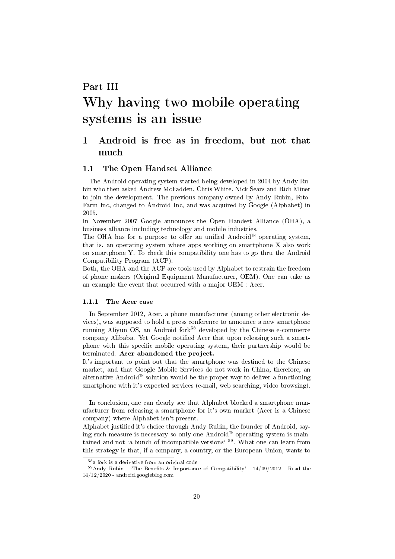# Part III Why having two mobile operating systems is an issue

## <span id="page-19-0"></span>1 Android is free as in freedom, but not that much

### <span id="page-19-1"></span>1.1 The Open Handset Alliance

The Android operating system started being developed in 2004 by Andy Rubin who then asked Andrew McFadden, Chris White, Nick Sears and Rich Miner to join the development. The previous company owned by Andy Rubin, Foto-Farm Inc, changed to Android Inc, and was acquired by Google (Alphabet) in 2005.

In November 2007 Google announces the Open Handset Alliance (OHA), a business alliance including technology and mobile industries.

The OHA has for a purpose to offer an unified Android<sup> $M$ </sup> operating system, that is, an operating system where apps working on smartphone X also work on smartphone Y. To check this compatibility one has to go thru the Android Compatibility Program (ACP).

Both, the OHA and the ACP are tools used by Alphabet to restrain the freedom of phone makers (Original Equipment Manufacturer, OEM). One can take as an example the event that occurred with a major OEM : Acer.

### <span id="page-19-2"></span>1.1.1 The Acer case

In September 2012, Acer, a phone manufacturer (among other electronic devices), was supposed to hold a press conference to announce a new smartphone running Aliyun OS, an Android fork<sup>[58](#page-19-3)</sup> developed by the Chinese e-commerce company Alibaba. Yet Google notified Acer that upon releasing such a smartphone with this specific mobile operating system, their partnership would be terminated. Acer abandoned the project.

It's important to point out that the smartphone was destined to the Chinese market, and that Google Mobile Services do not work in China, therefore, an alternative Android<sup> $M$ </sup> solution would be the proper way to deliver a functioning smartphone with it's expected services (e-mail, web searching, video browsing).

In conclusion, one can clearly see that Alphabet blocked a smartphone manufacturer from releasing a smartphone for it's own market (Acer is a Chinese company) where Alphabet isn't present.

Alphabet justified it's choice through Andy Rubin, the founder of Android, saying such measure is necessary so only one Android<sup> $M$ </sup> operating system is main-tained and not 'a bunch of incompatible versions' <sup>[59](#page-19-4)</sup>. What one can learn from this strategy is that, if a company, a country, or the European Union, wants to

<span id="page-19-4"></span><span id="page-19-3"></span><sup>58</sup>a fork is a derivative from an original code

 $^{59}$ Andy Rubin - 'The Benefits & Importance of Compatibility' - 14/09/2012 - Read the 14/12/2020 - android.googleblog.com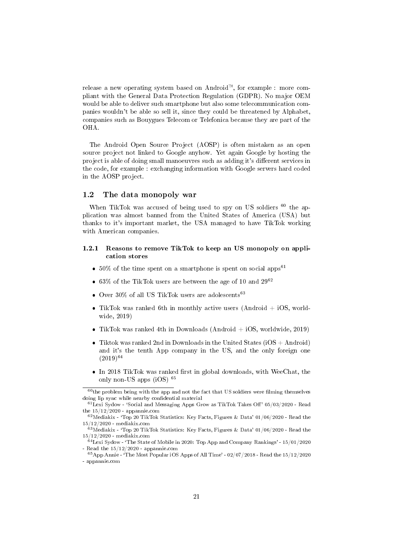release a new operating system based on Android<sup> $M$ </sup>, for example : more compliant with the General Data Protection Regulation (GDPR). No major OEM would be able to deliver such smartphone but also some telecommunication companies wouldn't be able so sell it, since they could be threatened by Alphabet, companies such as Bouygues Telecom or Telefonica because they are part of the OHA.

The Android Open Source Project (AOSP) is often mistaken as an open source project not linked to Google anyhow. Yet again Google by hosting the project is able of doing small manoeuvres such as adding it's different services in the code, for example : exchanging information with Google servers hard coded in the AOSP project.

### <span id="page-20-0"></span>1.2 The data monopoly war

When TikTok was accused of being used to spy on US soldiers <sup>[60](#page-20-2)</sup> the application was almost banned from the United States of America (USA) but thanks to it's important market, the USA managed to have TikTok working with American companies.

### <span id="page-20-1"></span>1.2.1 Reasons to remove TikTok to keep an US monopoly on application stores

- 50% of the time spent on a smartphone is spent on social apps<sup>[61](#page-20-3)</sup>
- 63% of the TikTok users are between the age of 10 and  $29^{62}$  $29^{62}$  $29^{62}$
- Over 30% of all US TikTok users are adolescents<sup>[63](#page-20-5)</sup>
- TikTok was ranked 6th in monthly active users (Android  $+$  iOS, worldwide, 2019)
- TikTok was ranked 4th in Downloads (Android  $+$  iOS, worldwide, 2019)
- Tiktok was ranked 2nd in Downloads in the United States (iOS  $+$  Android) and it's the tenth App company in the US, and the only foreign one  $(2019)^{64}$  $(2019)^{64}$  $(2019)^{64}$
- $\bullet$  In 2018 TikTok was ranked first in global downloads, with WeeChat, the only non-US apps (iOS) [65](#page-20-7)

<span id="page-20-2"></span> $60$ the problem being with the app and not the fact that US soldiers were filming themselves doing lip sync while nearby confidential material

<span id="page-20-3"></span> $^{61}$ Lexi Sydow - 'Social and Messaging Apps Grow as TikTok Takes Off' 05/03/2020 - Read the  $15/12/2020$  - appannie.com

<span id="page-20-4"></span> $62$ Mediakix - 'Top 20 TikTok Statistics: Key Facts, Figures & Data' 01/06/2020 - Read the 15/12/2020 - mediakix.com

<span id="page-20-5"></span> $^{63}$ Mediakix - 'Top 20 TikTok Statistics: Key Facts, Figures & Data' 01/06/2020 - Read the 15/12/2020 - mediakix.com

<span id="page-20-6"></span> $64$ Lexi Sydow - 'The State of Mobile in 2020: Top App and Company Rankings' - 15/01/2020 Read the  $15/12/2020$  - appannie.com

<span id="page-20-7"></span> $65$ App Annie - 'The Most Popular iOS Apps of All Time' - 02/07/2018 - Read the  $15/12/2020$ - appannie.com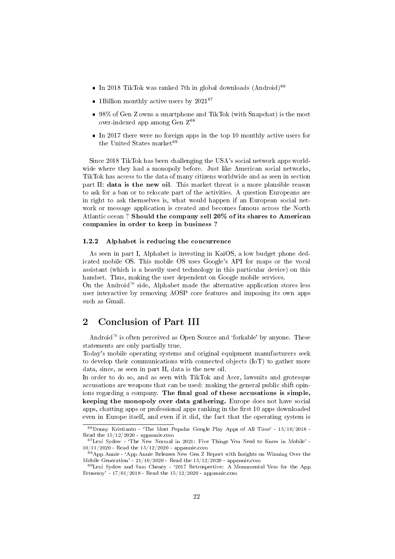- $\bullet$  In 2018 TikTok was ranked 7th in global downloads (Android)<sup>[66](#page-21-2)</sup>
- 1Billion monthly active users by  $2021^{67}$  $2021^{67}$  $2021^{67}$
- 98% of Gen Z owns a smartphone and TikTok (with Snapchat) is the most over-indexed app among Gen Z[68](#page-21-4)
- In 2017 there were no foreign apps in the top 10 monthly active users for the United States market $69$

Since 2018 TikTok has been challenging the USA's social network apps worldwide where they had a monopoly before. Just like American social networks, TikTok has access to the data of many citizens worldwide and as seen in section part II: data is the new oil. This market threat is a more plausible reason to ask for a ban or to relocate part of the activities. A question Europeans are in right to ask themselves is, what would happen if an European social network or message application is created and becomes famous across the North Atlantic ocean ? Should the company sell 20% of its shares to American companies in order to keep in business ?

#### <span id="page-21-0"></span>1.2.2 Alphabet is reducing the concurrence

As seen in part I, Alphabet is investing in KaiOS, a low budget phone dedicated mobile OS. This mobile OS uses Google's API for maps or the vocal assistant (which is a heavily used technology in this particular device) on this handset. Thus, making the user dependent on Google mobile services.

On the Android<sup> $M$ </sup> side, Alphabet made the alternative application stores less user interactive by removing AOSP core features and imposing its own apps such as Gmail.

## <span id="page-21-1"></span>2 Conclusion of Part III

Android<sup> $M$ </sup> is often perceived as Open Source and 'forkable' by anyone. These statements are only partially true.

Today's mobile operating systems and original equipment manufacturers seek to develop their communications with connected objects (IoT) to gather more data, since, as seen in part II, data is the new oil.

In order to do so, and as seen with TikTok and Acer, lawsuits and grotesque accusations are weapons that can be used: making the general public shift opinions regarding a company. The final goal of these accusations is simple, keeping the monopoly over data gathering. Europe does not have social apps, chatting apps or professional apps ranking in the first 10 apps downloaded even in Europe itself, and even if it did, the fact that the operating system is

<span id="page-21-2"></span> $66$ Donny Kristianto - 'The Most Popular Google Play Apps of All Time' -  $15/10/2018$  -Read the 15/12/2020 - appannie.com

<span id="page-21-3"></span> $67$  Lexi Sydow - 'The New Normal in 2021: Five Things You Need to Know in Mobile' -10/11/2020 - Read the 15/12/2020 - appannie.com

<span id="page-21-4"></span><sup>68</sup>App Annie - `App Annie Releases New Gen Z Report with Insights on Winning Over the Mobile Generation' - 21/10/2020 - Read the 15/12/2020 - appannie.com

<span id="page-21-5"></span><sup>&</sup>lt;sup>69</sup>Lexi Sydow and Sam Cheney - '2017 Retrospective: A Monumental Year for the App Economy' - 17/01/2018 - Read the 15/12/2020 - appannie.com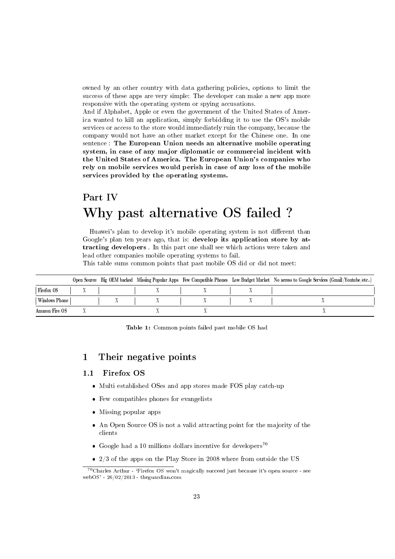owned by an other country with data gathering policies, options to limit the success of these apps are very simple: The developer can make a new app more responsive with the operating system or spying accusations.

And if Alphabet, Apple or even the government of the United States of America wanted to kill an application, simply forbidding it to use the OS's mobile services or access to the store would immediately ruin the company, because the company would not have an other market except for the Chinese one. In one sentence : The European Union needs an alternative mobile operating system, in case of any major diplomatic or commercial incident with the United States of America. The European Union's companies who rely on mobile services would perish in case of any loss of the mobile services provided by the operating systems.

## <span id="page-22-0"></span>Part IV Why past alternative OS failed ?

Huawei's plan to develop it's mobile operating system is not different than Google's plan ten years ago, that is: develop its application store by attracting developers . In this part one shall see which actions were taken and lead other companies mobile operating systems to fail.

This table sums common points that past mobile OS did or did not meet:

|                |  |  |  |  |  | Open Source Big OEM backed Missing Popular Apps Few Compatible Phones Low Budget Market No access to Google Services (Gmail/Youtube/etc) |
|----------------|--|--|--|--|--|------------------------------------------------------------------------------------------------------------------------------------------|
| Firefox OS     |  |  |  |  |  |                                                                                                                                          |
| Windows Phone  |  |  |  |  |  |                                                                                                                                          |
| Amazon Fire OS |  |  |  |  |  |                                                                                                                                          |

Table 1: Common points failed past mobile OS had

## <span id="page-22-1"></span>1 Their negative points

### <span id="page-22-2"></span>1.1 Firefox OS

- Multi established OSes and app stores made FOS play catch-up
- Few compatibles phones for evangelists
- Missing popular apps
- An Open Source OS is not a valid attracting point for the majority of the clients
- Google had a 10 millions dollars incentive for developers<sup>[70](#page-22-3)</sup>
- 2/3 of the apps on the Play Store in 2008 where from outside the US

<span id="page-22-3"></span> $70$ Charles Arthur - 'Firefox OS won't magically succeed just because it's open source - see webOS' - 26/02/2013 - theguardian.com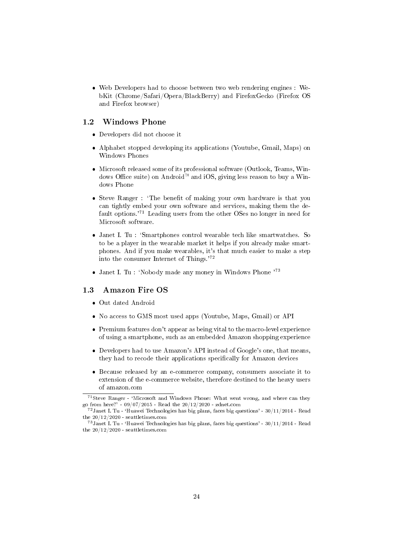Web Developers had to choose between two web rendering engines : WebKit (Chrome/Safari/Opera/BlackBerry) and FirefoxGecko (Firefox OS and Firefox browser)

### <span id="page-23-0"></span>1.2 Windows Phone

- Developers did not choose it
- Alphabet stopped developing its applications (Youtube, Gmail, Maps) on Windows Phones
- Microsoft released some of its professional software (Outlook, Teams, Windows Office suite) on Android<sup> $M$ </sup> and iOS, giving less reason to buy a Windows Phone
- Steve Ranger : 'The benefit of making your own hardware is that you can tightly embed your own software and services, making them the default options.'[71](#page-23-2) Leading users from the other OSes no longer in need for Microsoft software.
- Janet I. Tu : `Smartphones control wearable tech like smartwatches. So to be a player in the wearable market it helps if you already make smartphones. And if you make wearables, it's that much easier to make a step into the consumer Internet of Things.'[72](#page-23-3)
- Janet I. Tu : 'Nobody made any money in Windows Phone '[73](#page-23-4)

### <span id="page-23-1"></span>1.3 Amazon Fire OS

- Out dated Android
- No access to GMS most used apps (Youtube, Maps, Gmail) or API
- Premium features don't appear as being vital to the macro-level experience of using a smartphone, such as an embedded Amazon shopping experience
- Developers had to use Amazon's API instead of Google's one, that means, they had to recode their applications specifically for Amazon devices
- Because released by an e-commerce company, consumers associate it to extension of the e-commerce website, therefore destined to the heavy users of amazon.com

<span id="page-23-2"></span><sup>&</sup>lt;sup>71</sup>Steve Ranger - 'Microsoft and Windows Phone: What went wrong, and where can they go from here?' -  $09/07/2015$  - Read the  $20/12/2020$  - zdnet.com

<span id="page-23-3"></span> $^{72}$ Janet I. Tu - 'Huawei Technologies has big plans, faces big questions' - 30/11/2014 - Read the 20/12/2020 - seattletimes.com

<span id="page-23-4"></span> $^{73}$ Janet I. Tu - 'Huawei Technologies has big plans, faces big questions' - 30/11/2014 - Read the 20/12/2020 - seattletimes.com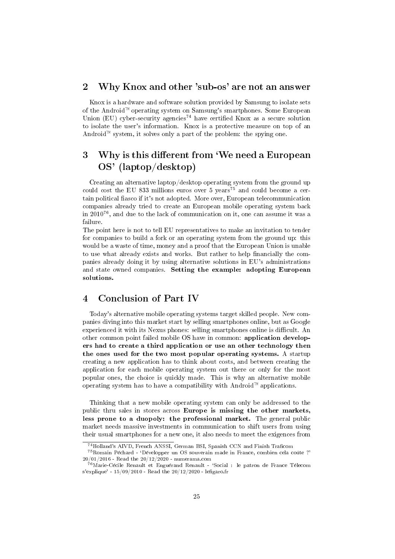## <span id="page-24-0"></span>2 Why Knox and other 'sub-os' are not an answer

Knox is a hardware and software solution provided by Samsung to isolate sets of the Android<sup> $M$ </sup> operating system on Samsung's smartphones. Some European Union (EU) cyber-security agencies<sup>[74](#page-24-3)</sup> have certified Knox as a secure solution to isolate the user's information. Knox is a protective measure on top of an Android<sup> $M$ </sup> system, it solves only a part of the problem: the spying one.

## <span id="page-24-1"></span>3 Why is this different from 'We need a European OS' (laptop/desktop)

Creating an alternative laptop/desktop operating system from the ground up could cost the EU 833 millions euros over 5 years<sup>[75](#page-24-4)</sup> and could become a certain political fiasco if it's not adopted. More over, European telecommunication companies already tried to create an European mobile operating system back in 2010[76](#page-24-5), and due to the lack of communication on it, one can assume it was a failure.

The point here is not to tell EU representatives to make an invitation to tender for companies to build a fork or an operating system from the ground up: this would be a waste of time, money and a proof that the European Union is unable to use what already exists and works. But rather to help financially the companies already doing it by using alternative solutions in EU's administrations and state owned companies. Setting the example: adopting European solutions.

## <span id="page-24-2"></span>4 Conclusion of Part IV

Today's alternative mobile operating systems target skilled people. New companies diving into this market start by selling smartphones online, but as Google experienced it with its Nexus phones: selling smartphones online is difficult. An other common point failed mobile OS have in common: application developers had to create a third application or use an other technology then the ones used for the two most popular operating systems. A startup creating a new application has to think about costs, and between creating the application for each mobile operating system out there or only for the most popular ones, the choice is quickly made. This is why an alternative mobile operating system has to have a compatibility with Android<sup> $M$ </sup> applications.

Thinking that a new mobile operating system can only be addressed to the public thru sales in stores across Europe is missing the other markets, less prone to a duopoly: the professional market. The general public market needs massive investments in communication to shift users from using their usual smartphones for a new one, it also needs to meet the exigences from

<span id="page-24-4"></span><span id="page-24-3"></span><sup>&</sup>lt;sup>74</sup>Holland's AIVD, French ANSSI, German BSI, Spanish CCN and Finish Traficom

 $^{75}$ Romain Péchard - 'Développer un OS souverain made in France, combien cela coûte ?'  $20\big/01/2016$  - Read the  $20/12/2020$  - numerama.com

<span id="page-24-5"></span> $76$ Marie-Cécile Renault et Enguérand Renault - 'Social : le patron de France Télecom s'explique' -  $15/09/2010$  - Read the  $20/12/2020$  - lefigaro.fr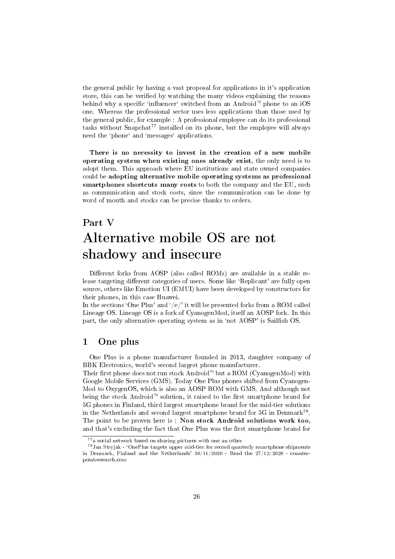the general public by having a vast proposal for applications in it's application store, this can be verified by watching the many videos explaining the reasons behind why a specific 'influencer' switched from an Android<sup>™</sup> phone to an iOS one. Whereas the professional sector uses less applications than those used by the general public, for example : A professional employee can do its professional tasks without Snapchat<sup>[77](#page-25-2)</sup> installed on its phone, but the employee will always need the 'phone' and 'messages' applications.

There is no necessity to invest in the creation of a new mobile operating system when existing ones already exist, the only need is to adopt them. This approach where EU institutions and state owned companies could be adopting alternative mobile operating systems as professional smartphones shortcuts many costs to both the company and the EU, such as communication and stock costs, since the communication can be done by word of mouth and stocks can be precise thanks to orders.

## <span id="page-25-0"></span>Part V

# Alternative mobile OS are not shadowy and insecure

Different forks from AOSP (also called ROMs) are available in a stable release targeting different categories of users. Some like 'Replicant' are fully open source, others like Emotion UI (EMUI) have been developed by constructors for their phones, in this case Huawei.

In the sections 'One Plus' and '/e/' it will be presented forks from a ROM called Lineage OS. Lineage OS is a fork of CyanogenMod, itself an AOSP fork. In this part, the only alternative operating system as in 'not AOSP' is Sailfish OS.

## <span id="page-25-1"></span>1 One plus

One Plus is a phone manufacturer founded in 2013, daughter company of BBK Electronics, world's second largest phone manufacturer.

Their first phone does not run stock Android<sup> $M$ </sup> but a ROM (CyanogenMod) with Google Mobile Services (GMS). Today One Plus phones shifted from Cyanogen-Mod to OxygenOS, which is also an AOSP ROM with GMS. And although not being the stock Android<sup> $M$ </sup> solution, it raised to the first smartphone brand for 5G phones in Finland, third largest smartphone brand for the mid-tier solutions in the Netherlands and second largest smartphone brand for 5G in Denmark[78](#page-25-3) . The point to be proven here is : Non stock Android solutions work too, and that's excluding the fact that One Plus was the first smartphone brand for

<span id="page-25-3"></span><span id="page-25-2"></span><sup>77</sup>a social network based on sharing pictures with one an other

<sup>78</sup>Jan Stryjak - `OnePlus targets upper mid-tier for record quarterly smartphone shipments in Denmark, Finland and the Netherlands' 30/11/2020 - Read the 27/12/2020 - counterpointresearch.com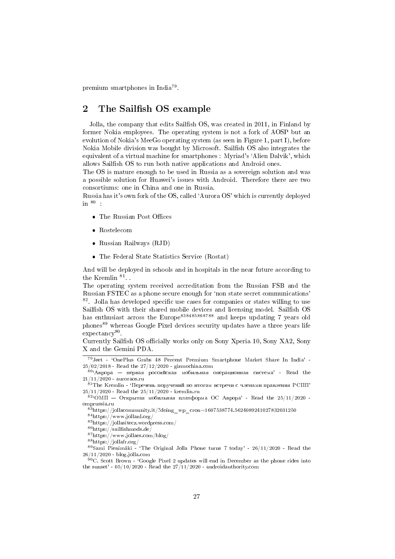premium smartphones in India[79](#page-26-1) .

## <span id="page-26-0"></span>2 The Sailfish OS example

Jolla, the company that edits Sailfish OS, was created in 2011, in Finland by former Nokia employees. The operating system is not a fork of AOSP but an evolution of Nokia's MeeGo operating system (as seen in Figure 1, part I), before Nokia Mobile division was bought by Microsoft. Sailfish OS also integrates the equivalent of a virtual machine for smartphones : Myriad's 'Alien Dalvik', which allows Sailfish OS to run both native applications and Android ones.

The OS is mature enough to be used in Russia as a sovereign solution and was a possible solution for Huawei's issues with Android. Therefore there are two consortiums: one in China and one in Russia.

Russia has it's own fork of the OS, called `Aurora OS' which is currently deployed in [80](#page-26-2) :

- $\bullet\,$  The Russian Post Offices
- Rostelecom
- Russian Railways (RJD)
- The Federal State Statistics Service (Rostat)

And will be deployed in schools and in hospitals in the near future according to the Kremlin  $81$ .

The operating system received accreditation from the Russian FSB and the Russian FSTEC as a phone secure enough for `non state secret communications' <sup>[82](#page-26-4)</sup>. Jolla has developed specific use cases for companies or states willing to use Sailfish OS with their shared mobile devices and licensing model. Sailfish OS has enthusiast across the Europe<sup>[83](#page-26-5)[84](#page-26-6)[85](#page-26-7)[86](#page-26-8)[87](#page-26-9)[88](#page-26-10)</sup> and keeps updating 7 years old phones<sup>[89](#page-26-11)</sup> whereas Google Pixel devices security updates have a three years life expectancy<sup>[90](#page-26-12)</sup>.

Currently Sailfish OS officially works only on Sony Xperia 10, Sony XA2, Sony X and the Gemini PDA.

<span id="page-26-1"></span><sup>79</sup>Jeet - `OnePlus Grabs 48 Percent Premium Smartphone Market Share In India' - 25/02/2018 - Read the 27/12/2020 - gizmochina.com

<span id="page-26-2"></span> $80^{\circ}$ Аврора — первая российская мобильная операционная система' - Read the 21/11/2020 - auroraos.ru

<span id="page-26-3"></span> $81$ The Kremlin - 'Перечень поручений по итогам встречи с членами правления РСПП' 25/11/2020 - Read the 25/11/2020 - kremlin.ru

<span id="page-26-4"></span> $82^{\circ}$ ОМП — Открытая мобильная платформа ОС Аврора' - Read the 25/11/2020 omprussia.ru

<span id="page-26-5"></span> $8^{3}$ https://jollacommunity.it/?doing\_wp\_cron=1607538774.5624089241027832031250

<span id="page-26-6"></span> $^{84}\mathrm{https}$  //www.jollanl.org/

<span id="page-26-7"></span><sup>85</sup>https://jollasitecz.wordpress.com/

<span id="page-26-8"></span> $^{86}\rm{https://sailfishmods.de/}$ 

<span id="page-26-9"></span><sup>87</sup>https://www.jollaes.com/blog/

<span id="page-26-11"></span><span id="page-26-10"></span><sup>88</sup>https://jollafr.org/

 $89$ Sami Pienimäki - 'The Original Jolla Phone turns 7 today' - 26/11/2020 - Read the 26/11/2020 - blog.jolla.com

<span id="page-26-12"></span> $90C$ . Scott Brown - 'Google Pixel 2 updates will end in December as the phone rides into the sunset' -  $05/10/2020$  - Read the  $27/11/2020$  - androidauthority.com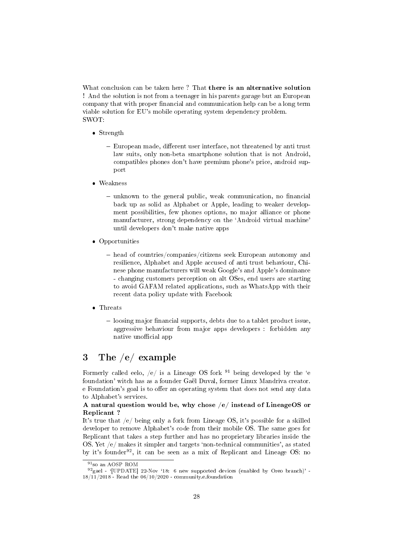What conclusion can be taken here? That there is an alternative solution ! And the solution is not from a teenager in his parents garage but an European company that with proper financial and communication help can be a long term viable solution for EU's mobile operating system dependency problem. SWOT:

- Strength
	- European made, different user interface, not threatened by anti trust law suits, only non-beta smartphone solution that is not Android, compatibles phones don't have premium phone's price, android support
- Weakness
	- $-$  unknown to the general public, weak communication, no financial back up as solid as Alphabet or Apple, leading to weaker development possibilities, few phones options, no major alliance or phone manufacturer, strong dependency on the `Android virtual machine' until developers don't make native apps
- Opportunities
	- head of countries/companies/citizens seek European autonomy and resilience, Alphabet and Apple accused of anti trust behaviour, Chinese phone manufacturers will weak Google's and Apple's dominance - changing customers perception on alt OSes, end users are starting to avoid GAFAM related applications, such as WhatsApp with their recent data policy update with Facebook
- Threats
	- $-$  loosing major financial supports, debts due to a tablet product issue, aggressive behaviour from major apps developers : forbidden any native unofficial app

## <span id="page-27-0"></span>3 The /e/ example

Formerly called eelo,  $/e/$  is a Lineage OS fork <sup>[91](#page-27-1)</sup> being developed by the 'e foundation' witch has as a founder Gaël Duval, former Linux Mandriva creator. e Foundation's goal is to offer an operating system that does not send any data to Alphabet's services.

### A natural question would be, why chose /e/ instead of LineageOS or Replicant ?

It's true that /e/ being only a fork from Lineage OS, it's possible for a skilled developer to remove Alphabet's code from their mobile OS. The same goes for Replicant that takes a step further and has no proprietary libraries inside the OS. Yet /e/ makes it simpler and targets `non-technical communities', as stated by it's founder<sup>[92](#page-27-2)</sup>, it can be seen as a mix of Replicant and Lineage OS: no

<span id="page-27-2"></span><span id="page-27-1"></span><sup>91</sup>so an AOSP ROM

 $^{92}$ gael - '[UPDATE] 22-Nov '18: 6 new supported devices (enabled by Oreo branch)' -18/11/2018 - Read the 06/10/2020 - community.e.foundation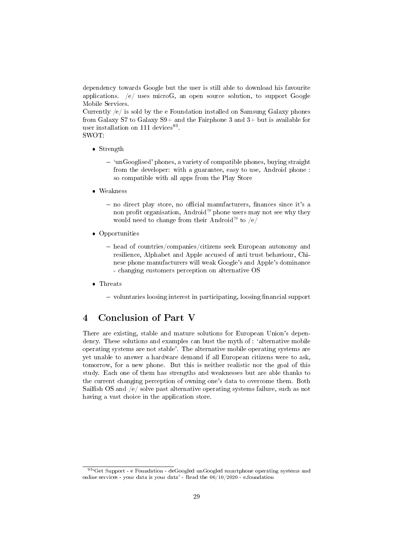dependency towards Google but the user is still able to download his favourite applications.  $/e/$  uses microG, an open source solution, to support Google Mobile Services.

Currently  $/e/$  is sold by the e-Foundation installed on Samsung Galaxy phones from Galaxy S7 to Galaxy S9+ and the Fairphone 3 and 3+ but is available for user installation on 111 devices<sup>[93](#page-28-1)</sup>.

SWOT:

- Strength
	- $-$  'unGooglised' phones, a variety of compatible phones, buying straight from the developer: with a guarantee, easy to use, Android phone : so compatible with all apps from the Play Store
- Weakness
	- no direct play store, no official manufacturers, finances since it's a non profit organisation, Android<sup> $M$ </sup> phone users may not see why they would need to change from their Android<sup><sup>M</sup> to /e/</sup>
- Opportunities
	- $heta$  head of countries/companies/citizens seek European autonomy and resilience, Alphabet and Apple accused of anti trust behaviour, Chinese phone manufacturers will weak Google's and Apple's dominance - changing customers perception on alternative OS
- Threats
	- $-$  voluntaries loosing interest in participating, loosing financial support

## <span id="page-28-0"></span>4 Conclusion of Part V

There are existing, stable and mature solutions for European Union's dependency. These solutions and examples can bust the myth of : 'alternative mobile operating systems are not stable'. The alternative mobile operating systems are yet unable to answer a hardware demand if all European citizens were to ask, tomorrow, for a new phone. But this is neither realistic nor the goal of this study. Each one of them has strengths and weaknesses but are able thanks to the current changing perception of owning one's data to overcome them. Both Sailfish OS and  $/e$  solve past alternative operating systems failure, such as not having a vast choice in the application store.

<span id="page-28-1"></span> $^{93}\,^{\prime}\text{G}$  Support - e Foundation - deGoogled unGoogled smartphone operating systems and online services - your data is your data' - Read the 06/10/2020 - e.foundation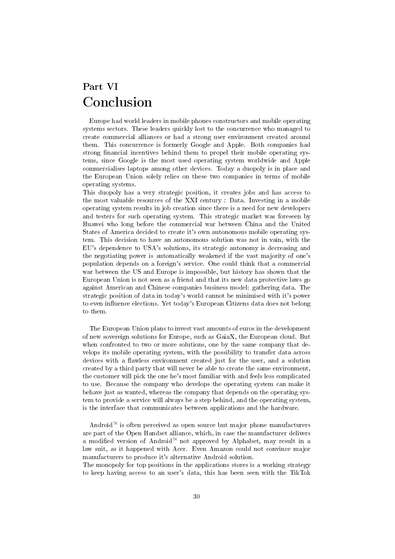## <span id="page-29-0"></span>Part VI Conclusion

Europe had world leaders in mobile phones constructors and mobile operating systems sectors. These leaders quickly lost to the concurrence who managed to create commercial alliances or had a strong user environment created around them. This concurrence is formerly Google and Apple. Both companies had strong financial incentives behind them to propel their mobile operating systems, since Google is the most used operating system worldwide and Apple commercialises laptops among other devices. Today a duopoly is in place and the European Union solely relies on these two companies in terms of mobile operating systems.

This duopoly has a very strategic position, it creates jobs and has access to the most valuable resources of the XXI century : Data. Investing in a mobile operating system results in job creation since there is a need for new developers and testers for such operating system. This strategic market was foreseen by Huawei who long before the commercial war between China and the United States of America decided to create it's own autonomous mobile operating system. This decision to have an autonomous solution was not in vain, with the EU's dependence to USA's solutions, its strategic autonomy is decreasing and the negotiating power is automatically weakened if the vast majority of one's population depends on a foreign's service. One could think that a commercial war between the US and Europe is impossible, but history has shown that the European Union is not seen as a friend and that its new data protective laws go against American and Chinese companies business model: gathering data. The strategic position of data in today's world cannot be minimised with it's power to even influence elections. Yet today's European Citizens data does not belong to them.

The European Union plans to invest vast amounts of euros in the development of new sovereign solutions for Europe, such as GaiaX, the European cloud. But when confronted to two or more solutions, one by the same company that develops its mobile operating system, with the possibility to transfer data across devices with a flawless environment created just for the user, and a solution created by a third party that will never be able to create the same environment, the customer will pick the one he's most familiar with and feels less complicated to use. Because the company who develops the operating system can make it behave just as wanted, whereas the company that depends on the operating system to provide a service will always be a step behind, and the operating system, is the interface that communicates between applications and the hardware.

Android<sup> $M$ </sup> is often perceived as open source but major phone manufacturers are part of the Open Handset alliance, which, in case the manufacturer delivers a modified version of Android<sup> $M$ </sup> not approved by Alphabet, may result in a law suit, as it happened with Acer. Even Amazon could not convince major manufacturers to produce it's alternative Android solution.

The monopoly for top positions in the applications stores is a working strategy to keep having access to an user's data, this has been seen with the TikTok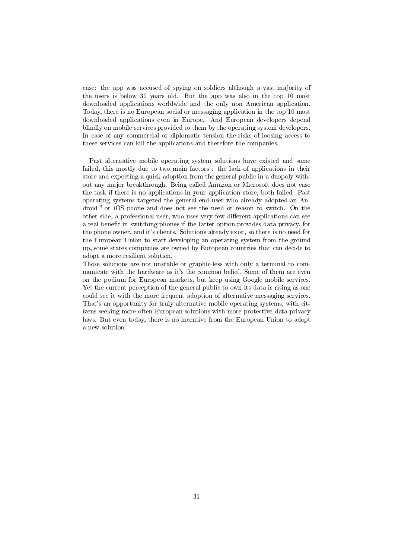case: the app was accused of spying on soldiers although a vast majority of the users is below 30 years old. But the app was also in the top 10 most downloaded applications worldwide and the only non American application. Today, there is no European social or messaging application in the top 10 most downloaded applications even in Europe. And European developers depend blindly on mobile services provided to them by the operating system developers. In case of any commercial or diplomatic tension the risks of loosing access to these services can kill the applications and therefore the companies.

Past alternative mobile operating system solutions have existed and some failed, this mostly due to two main factors : the lack of applications in their store and expecting a quick adoption from the general public in a duopoly without any major breakthrough. Being called Amazon or Microsoft does not ease the task if there is no applications in your application store, both failed. Past operating systems targeted the general end user who already adopted an An $d_{\text{roid}}$  or iOS phone and does not see the need or reason to switch. On the other side, a professional user, who uses very few different applications can see a real benefit in switching phones if the latter option provides data privacy, for the phone owner, and it's clients. Solutions already exist, so there is no need for the European Union to start developing an operating system from the ground up, some states companies are owned by European countries that can decide to adopt a more resilient solution.

Those solutions are not unstable or graphic-less with only a terminal to communicate with the hardware as it's the common belief. Some of them are even on the podium for European markets, but keep using Google mobile services. Yet the current perception of the general public to own its data is rising as one could see it with the more frequent adoption of alternative messaging services. That's an opportunity for truly alternative mobile operating systems, with citizens seeking more often European solutions with more protective data privacy laws. But even today, there is no incentive from the European Union to adopt a new solution.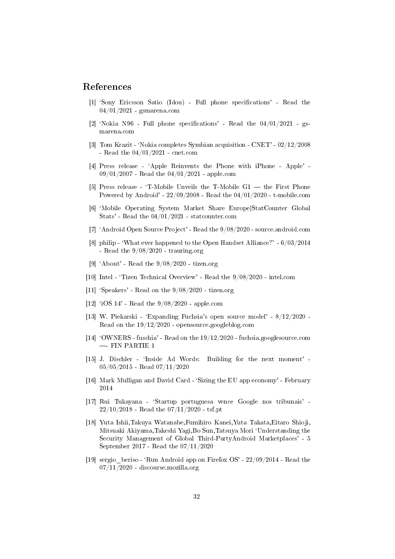### References

- [1] 'Sony Ericsson Satio (Idou) Full phone specifications' Read the 04/01/2021 - gsmarena.com
- [2] 'Nokia N96 Full phone specifications' Read the  $04/01/2021$  gsmarena.com
- [3] Tom Krazit `Nokia completes Symbian acquisition CNET' 02/12/2008 - Read the 04/01/2021 - cnet.com
- [4] Press release `Apple Reinvents the Phone with iPhone Apple' 09/01/2007 - Read the 04/01/2021 - apple.com
- [5] Press release 'T-Mobile Unveils the T-Mobile  $G_1$  the First Phone Powered by Android' - 22/09/2008 - Read the 04/01/2020 - t-mobile.com
- [6] `Mobile Operating System Market Share Europe|StatCounter Global Stats' - Read the 04/01/2021 - statcounter.com
- [7] `Android Open Source Project' Read the 9/08/2020 source.android.com
- [8] philip `What ever happened to the Open Handset Alliance?' 6/03/2014 - Read the  $9/08/2020$  - trauring.org
- [9] `About' Read the 9/08/2020 tizen.org
- [10] Intel `Tizen Technical Overview' Read the 9/08/2020 intel.com
- [11] 'Speakers' Read on the  $9/08/2020$  tizen.org
- [12] `iOS 14' Read the 9/08/2020 apple.com
- [13] W. Piekarski `Expanding Fuchsia's open source model' 8/12/2020 Read on the 19/12/2020 - opensource.googleblog.com
- [14] `OWNERS fuschia' Read on the 19/12/2020 fuchsia.googlesource.com  $-$  FIN PARTIE 1
- [15] J. Dischler 'Inside Ad Words: Building for the next moment' -05/05/2015 - Read 07/11/2020
- [16] Mark Mulligan and David Card 'Sizing the EU app economy' February 2014
- [17] Rui Tukayana `Startup portuguesa vence Google nos tribunais' 22/10/2018 - Read the 07/11/2020 - tsf.pt
- [18] Yuta Ishii,Takuya Watanabe,Fumihiro Kanei,Yuta Takata,Eitaro Shioji, Mitsuaki Akiyama,Takeshi Yagi,Bo Sun,Tatsuya Mori `Understanding the Security Management of Global Third-PartyAndroid Marketplaces' - 5 September 2017 - Read the 07/11/2020
- [19] sergio beriso 'Run Android app on Firefox OS'  $22/09/2014$  Read the  $07/11/2020$  - discourse mozilla.org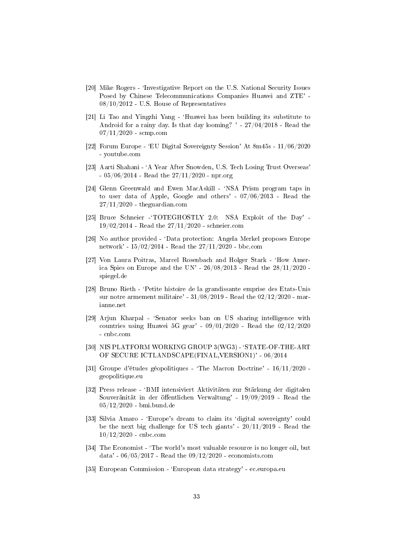- [20] Mike Rogers 'Investigative Report on the U.S. National Security Issues Posed by Chinese Telecommunications Companies Huawei and ZTE' -  $08/10/2012$  - U.S. House of Representatives
- [21] Li Tao and Yingzhi Yang `Huawei has been building its substitute to Android for a rainy day. Is that day looming? ' - 27/04/2018 - Read the  $07/11/2020$  - scmp.com
- [22] Forum Europe `EU Digital Sovereignty Session' At 8m45s 11/06/2020 - youtube.com
- [23] Aarti Shahani `A Year After Snowden, U.S. Tech Losing Trust Overseas'  $-05/06/2014$  - Read the  $27/11/2020$  - npr.org
- [24] Glenn Greenwald and Ewen MacAskill 'NSA Prism program taps in to user data of Apple, Google and others' - 07/06/2013 - Read the  $27/11/2020$  - theguardian.com
- [25] Bruce Schneier -'TOTEGHOSTLY 2.0: NSA Exploit of the Day' -19/02/2014 - Read the 27/11/2020 - schneier.com
- [26] No author provided 'Data protection: Angela Merkel proposes Europe network' - 15/02/2014 - Read the 27/11/2020 - bbc.com
- [27] Von Laura Poitras, Marcel Rosenbach and Holger Stark `How America Spies on Europe and the UN' -  $26/08/2013$  - Read the  $28/11/2020$  spiegel.de
- [28] Bruno Rieth `Petite histoire de la grandissante emprise des Etats-Unis sur notre armement militaire' - 31/08/2019 - Read the 02/12/2020 - marianne.net
- [29] Arjun Kharpal `Senator seeks ban on US sharing intelligence with countries using Huawei 5G gear' - 09/01/2020 - Read the 02/12/2020 - cnbc.com
- [30] NIS PLATFORM WORKING GROUP 3(WG3) 'STATE-OF-THE-ART OF SECURE ICTLANDSCAPE(FINAL,VERSION1)' - 06/2014
- [31] Groupe d'études géopolitiques `The Macron Doctrine' 16/11/2020 geopolitique.eu
- [32] Press release `BMI intensiviert Aktivitäten zur Stärkung der digitalen Souveränität in der öffentlichen Verwaltung' - 19/09/2019 - Read the 05/12/2020 - bmi.bund.de
- [33] Silvia Amaro `Europe's dream to claim its `digital sovereignty' could be the next big challenge for US tech giants' - 20/11/2019 - Read the 10/12/2020 - cnbc.com
- [34] The Economist 'The world's most valuable resource is no longer oil, but data' - 06/05/2017 - Read the 09/12/2020 - economists.com
- [35] European Commission 'European data strategy' ec.europa.eu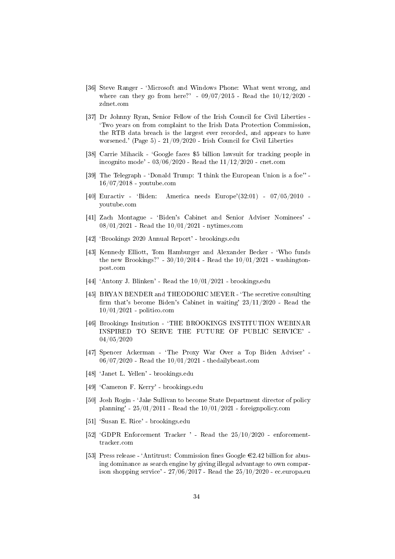- [36] Steve Ranger 'Microsoft and Windows Phone: What went wrong, and where can they go from here?' -  $09/07/2015$  - Read the  $10/12/2020$  zdnet.com
- [37] Dr Johnny Ryan, Senior Fellow of the Irish Council for Civil Liberties `Two years on from complaint to the Irish Data Protection Commission, the RTB data breach is the largest ever recorded, and appears to have worsened.' (Page 5) - 21/09/2020 - Irish Council for Civil Liberties
- [38] Carrie Mihacik `Google faces \$5 billion lawsuit for tracking people in incognito mode' - 03/06/2020 - Read the 11/12/2020 - cnet.com
- [39] The Telegraph `Donald Trump: 'I think the European Union is a foe'' 16/07/2018 - youtube.com
- [40] Euractiv `Biden: America needs Europe'(32:01) 07/05/2010 youtube.com
- [41] Zach Montague 'Biden's Cabinet and Senior Adviser Nominees' -08/01/2021 - Read the 10/01/2021 - nytimes.com
- [42] `Brookings 2020 Annual Report' brookings.edu
- [43] Kennedy Elliott, Tom Hamburger and Alexander Becker 'Who funds the new Brookings?' -  $30/10/2014$  - Read the  $10/01/2021$  - washingtonpost.com
- [44] 'Antony J. Blinken' Read the  $10/01/2021$  brookings.edu
- [45] BRYAN BENDER and THEODORIC MEYER 'The secretive consulting firm that's become Biden's Cabinet in waiting'  $23/11/2020$  - Read the 10/01/2021 - politico.com
- [46] Brookings Insitution 'THE BROOKINGS INSTITUTION WEBINAR INSPIRED TO SERVE THE FUTURE OF PUBLIC SERVICE' - 04/05/2020
- [47] Spencer Ackerman 'The Proxy War Over a Top Biden Adviser' -06/07/2020 - Read the 10/01/2021 - thedailybeast.com
- [48] `Janet L. Yellen' brookings.edu
- [49] `Cameron F. Kerry' brookings.edu
- [50] Josh Rogin `Jake Sullivan to become State Department director of policy planning' -  $25/01/2011$  - Read the  $10/01/2021$  - foreignpolicy.com
- [51] `Susan E. Rice' brookings.edu
- [52]  $'GDPR$  Enforcement Tracker ' Read the  $25/10/2020$  enforcementtracker.com
- [53] Press release 'Antitrust: Commission fines Google  $\epsilon$ 2.42 billion for abusing dominance as search engine by giving illegal advantage to own comparison shopping service' -  $27/06/2017$  - Read the  $25/10/2020$  - ec. europa.eu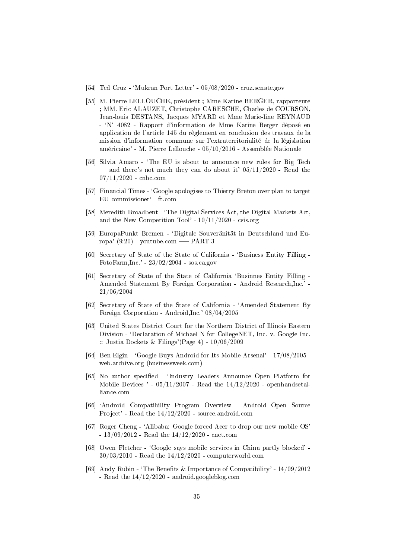- [54] Ted Cruz `Mukran Port Letter' 05/08/2020 cruz.senate.gov
- [55] M. Pierre LELLOUCHE, président ; Mme Karine BERGER, rapporteure ; MM. Eric ALAUZET, Christophe CARESCHE, Charles de COURSON, Jean-louis DESTANS, Jacques MYARD et Mme Marie-line REYNAUD - `N° 4082 - Rapport d'information de Mme Karine Berger déposé en application de l'article 145 du règlement en conclusion des travaux de la mission d'information commune sur l'extraterritorialité de la législation américaine' - M. Pierre Lellouche - 05/10/2016 - Assemblée Nationale
- [56] Silvia Amaro 'The EU is about to announce new rules for Big Tech  $-$  and there's not much they can do about it'  $05/11/2020$  - Read the 07/11/2020 - cnbc.com
- [57] Financial Times 'Google apologises to Thierry Breton over plan to target EU commissioner' - ft.com
- [58] Meredith Broadbent 'The Digital Services Act, the Digital Markets Act, and the New Competition Tool' -  $10/11/2020$  - csis.org
- [59] EuropaPunkt Bremen `Digitale Souveränität in Deutschland und Europa'  $(9:20)$  - youtube.com — PART 3
- [60] Secretary of State of the State of California `Business Entity Filling FotoFarm,Inc.' - 23/02/2004 - sos.ca.gov
- [61] Secretary of State of the State of California `Businnes Entity Filling Amended Statement By Foreign Corporation - Android Research,Inc.' - 21/06/2004
- [62] Secretary of State of the State of California `Amended Statement By Foreign Corporation - Android,Inc.' 08/04/2005
- [63] United States District Court for the Northern District of Illinois Eastern Division - 'Declaration of Michael N for CollegeNET, Inc. v. Google Inc. :: Justia Dockets & Filings'(Page 4) - 10/06/2009
- [64] Ben Elgin 'Google Buys Android for Its Mobile Arsenal' 17/08/2005 web.archive.org (businessweek.com)
- [65] No author specified 'Industry Leaders Announce Open Platform for Mobile Devices ' -  $05/11/2007$  - Read the  $14/12/2020$  - openhandsetalliance.com
- [66] `Android Compatibility Program Overview | Android Open Source Project' - Read the 14/12/2020 - source.android.com
- [67] Roger Cheng `Alibaba: Google forced Acer to drop our new mobile OS' - 13/09/2012 - Read the 14/12/2020 - cnet.com
- [68] Owen Fletcher 'Google says mobile services in China partly blocked' -30/03/2010 - Read the 14/12/2020 - computerworld.com
- [69] Andy Rubin 'The Benefits & Importance of Compatibility'  $14/09/2012$ - Read the 14/12/2020 - android.googleblog.com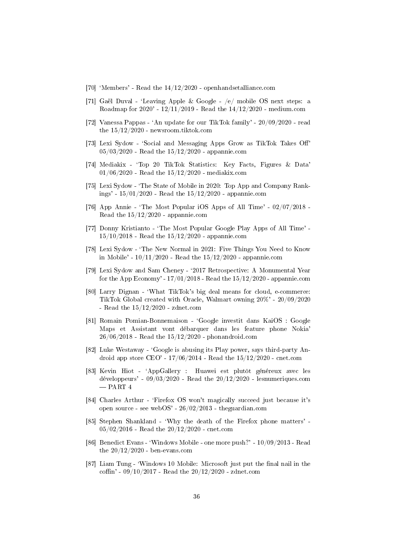- [70] `Members' Read the 14/12/2020 openhandsetalliance.com
- [71] Gaël Duval `Leaving Apple & Google /e/ mobile OS next steps: a Roadmap for 2020' - 12/11/2019 - Read the 14/12/2020 - medium.com
- [72] Vanessa Pappas `An update for our TikTok family' 20/09/2020 read the 15/12/2020 - newsroom.tiktok.com
- [73] Lexi Sydow 'Social and Messaging Apps Grow as TikTok Takes Off' 05/03/2020 - Read the 15/12/2020 - appannie.com
- [74] Mediakix `Top 20 TikTok Statistics: Key Facts, Figures & Data' 01/06/2020 - Read the 15/12/2020 - mediakix.com
- [75] Lexi Sydow `The State of Mobile in 2020: Top App and Company Rankings' - 15/01/2020 - Read the 15/12/2020 - appannie.com
- [76] App Annie 'The Most Popular iOS Apps of All Time'  $02/07/2018$  -Read the 15/12/2020 - appannie.com
- [77] Donny Kristianto 'The Most Popular Google Play Apps of All Time' -15/10/2018 - Read the 15/12/2020 - appannie.com
- [78] Lexi Sydow 'The New Normal in 2021: Five Things You Need to Know in Mobile' - 10/11/2020 - Read the 15/12/2020 - appannie.com
- [79] Lexi Sydow and Sam Cheney `2017 Retrospective: A Monumental Year for the App Economy' -  $17/01/2018$  - Read the  $15/12/2020$  - appannie.com
- [80] Larry Dignan `What TikTok's big deal means for cloud, e-commerce: TikTok Global created with Oracle, Walmart owning 20%' - 20/09/2020 - Read the 15/12/2020 - zdnet.com
- [81] Romain Pomian-Bonnemaison 'Google investit dans KaiOS : Google Maps et Assistant vont débarquer dans les feature phone Nokia' 26/06/2018 - Read the 15/12/2020 - phonandroid.com
- [82] Luke Westaway `Google is abusing its Play power, says third-party Android app store CEO' - 17/06/2014 - Read the 15/12/2020 - cnet.com
- [83] Kevin Hiot `AppGallery : Huawei est plutôt généreux avec les développeurs' -  $09/03/2020$  - Read the  $20/12/2020$  - lesnumeriques.com  $-$ PART  $4$
- [84] Charles Arthur 'Firefox OS won't magically succeed just because it's open source - see webOS' - 26/02/2013 - theguardian.com
- [85] Stephen Shankland `Why the death of the Firefox phone matters' 05/02/2016 - Read the 20/12/2020 - cnet.com
- [86] Benedict Evans `Windows Mobile one more push?' 10/09/2013 Read the  $20/12/2020$  - ben-evans.com
- [87] Liam Tung 'Windows 10 Mobile: Microsoft just put the final nail in the coffin' - 09/10/2017 - Read the  $20/12/2020$  - zdnet.com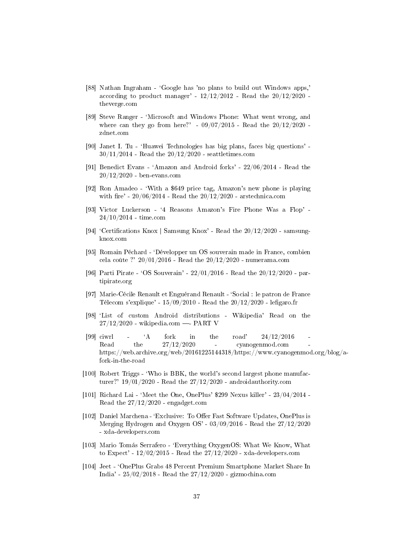- [88] Nathan Ingraham 'Google has 'no plans to build out Windows apps,' according to product manager' -  $12/12/2012$  - Read the  $20/12/2020$  theverge.com
- [89] Steve Ranger `Microsoft and Windows Phone: What went wrong, and where can they go from here?' -  $09/07/2015$  - Read the  $20/12/2020$  zdnet.com
- [90] Janet I. Tu `Huawei Technologies has big plans, faces big questions'  $30/11/2014$  - Read the  $20/12/2020$  - seattletimes.com
- [91] Benedict Evans `Amazon and Android forks' 22/06/2014 Read the 20/12/2020 - ben-evans.com
- [92] Ron Amadeo `With a \$649 price tag, Amazon's new phone is playing with fire' -  $20/06/2014$  - Read the  $20/12/2020$  - arstechnica.com
- [93] Victor Luckerson `4 Reasons Amazon's Fire Phone Was a Flop' 24/10/2014 - time.com
- [94] 'Certifications Knox | Samsung Knox' Read the  $20/12/2020$  samsungknox.com
- [95] Romain Péchard `Développer un OS souverain made in France, combien cela coûte ?' 20/01/2016 - Read the 20/12/2020 - numerama.com
- [96] Parti Pirate `OS Souverain' 22/01/2016 Read the 20/12/2020 partipirate.org
- [97] Marie-Cécile Renault et Enguérand Renault `Social : le patron de France Télecom s'explique' -  $15/09/2010$  - Read the  $20/12/2020$  - lefigaro.fr
- [98] `List of custom Android distributions Wikipedia' Read on the  $27/12/2020$  - wikipedia.com - PART V
- [99] ciwrl  $\overline{A}$  fork in the road'  $24/12/2016$ Read the  $27/12/2020$  - cyanogenmod.com https://web.archive.org/web/20161225144318/https://www.cyanogenmod.org/blog/afork-in-the-road
- [100] Robert Triggs 'Who is BBK, the world's second largest phone manufacturer?' 19/01/2020 - Read the 27/12/2020 - androidauthority.com
- [101] Richard Lai `Meet the One, OnePlus' \$299 Nexus killer' 23/04/2014 Read the 27/12/2020 - engadget.com
- [102] Daniel Marchena 'Exclusive: To Offer Fast Software Updates, OnePlus is Merging Hydrogen and Oxygen OS' - 03/09/2016 - Read the 27/12/2020 - xda-developers.com
- [103] Mario Tomás Serrafero `Everything OxygenOS: What We Know, What to Expect' - 12/02/2015 - Read the 27/12/2020 - xda-developers.com
- [104] Jeet `OnePlus Grabs 48 Percent Premium Smartphone Market Share In India' - 25/02/2018 - Read the 27/12/2020 - gizmochina.com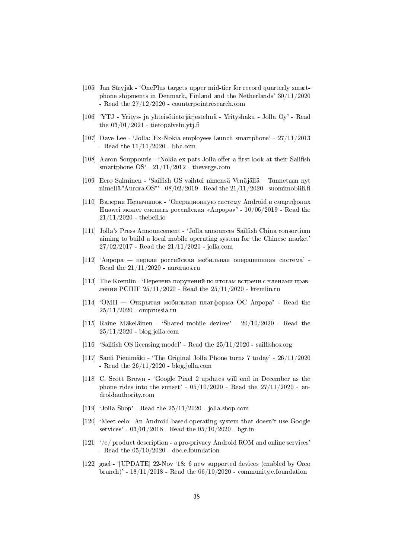- [105] Jan Stryjak `OnePlus targets upper mid-tier for record quarterly smartphone shipments in Denmark, Finland and the Netherlands' 30/11/2020 - Read the 27/12/2020 - counterpointresearch.com
- [106] `YTJ Yritys- ja yhteisötietojärjestelmä Yrityshaku Jolla Oy' Read the  $03/01/2021$  - tietopalvelu.ytj.fi
- [107] Dave Lee `Jolla: Ex-Nokia employees launch smartphone' 27/11/2013 - Read the 11/11/2020 - bbc.com
- [108] Aaron Souppouris 'Nokia ex-pats Jolla offer a first look at their Sailfish smartphone  $OS'$  - 21/11/2012 - theverge.com
- [109] Eero Salminen `Sailsh OS vaihtoi nimensä Venäjällä Tunnetaan nyt nimellä "Aurora OS" ' - 08/02/2019 - Read the 21/11/2020 - suomimobiili.fi
- [110] Валерия Позычанюк 'Операционную систему Android в смартфонах Huawei может сменить российская «Аврора»' -  $10/06/2019$  - Read the 21/11/2020 - thebell.io
- [111] Jolla's Press Announcement `Jolla announces Sailsh China consortium aiming to build a local mobile operating system for the Chinese market' 27/02/2017 - Read the 21/11/2020 - jolla.com
- $\begin{bmatrix} 112 \end{bmatrix}$  'Аврора первая российская мобильная операционная система' -Read the  $21/11/2020$  - auroraos.ru
- [113] The Kremlin 'Перечень поручений по итогам встречи с членами правления РСПП' 25/11/2020 - Read the  $25/11/2020$  - kremlin.ru
- $[114]$  'OMII Открытая мобильная платформа ОС Аврора' Read the 25/11/2020 - omprussia.ru
- [115] Raine Mäkeläinen 'Shared mobile devices' 20/10/2020 Read the 25/11/2020 - blog.jolla.com
- [116] 'Sailfish OS licensing model' Read the  $25/11/2020$  sailfishos.org
- [117] Sami Pienimäki `The Original Jolla Phone turns 7 today' 26/11/2020 - Read the  $26/11/2020$  - blog.jolla.com
- [118] C. Scott Brown `Google Pixel 2 updates will end in December as the phone rides into the sunset' -  $05/10/2020$  - Read the  $27/11/2020$  - androidauthority.com
- [119] 'Jolla Shop' Read the  $25/11/2020$  jolla.shop.com
- [120] `Meet eelo: An Android-based operating system that doesn't use Google services' - 03/01/2018 - Read the 05/10/2020 - bgr.in
- [121] `/e/ product description a pro-privacy Android ROM and online services' - Read the 05/10/2020 - doc.e.foundation
- [122] gael `[UPDATE] 22-Nov `18: 6 new supported devices (enabled by Oreo branch)' -  $18/11/2018$  - Read the  $06/10/2020$  - community.e.foundation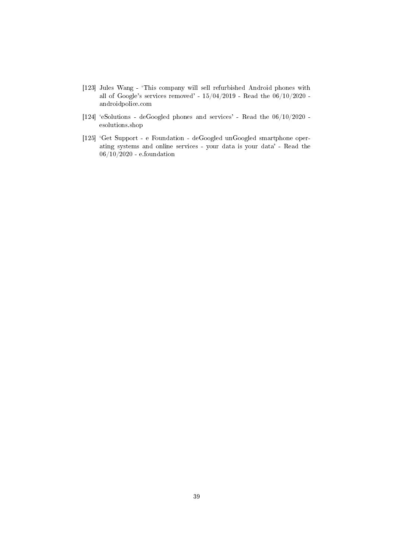- [123] Jules Wang 'This company will sell refurbished Android phones with all of Google's services removed' - 15/04/2019 - Read the 06/10/2020 androidpolice.com
- $\left[ 124\right]$  'eSolutions deGoogled phones and services' Read the  $06/10/2020$  esolutions.shop
- [125] `Get Support e Foundation deGoogled unGoogled smartphone operating systems and online services - your data is your data' - Read the 06/10/2020 - e.foundation